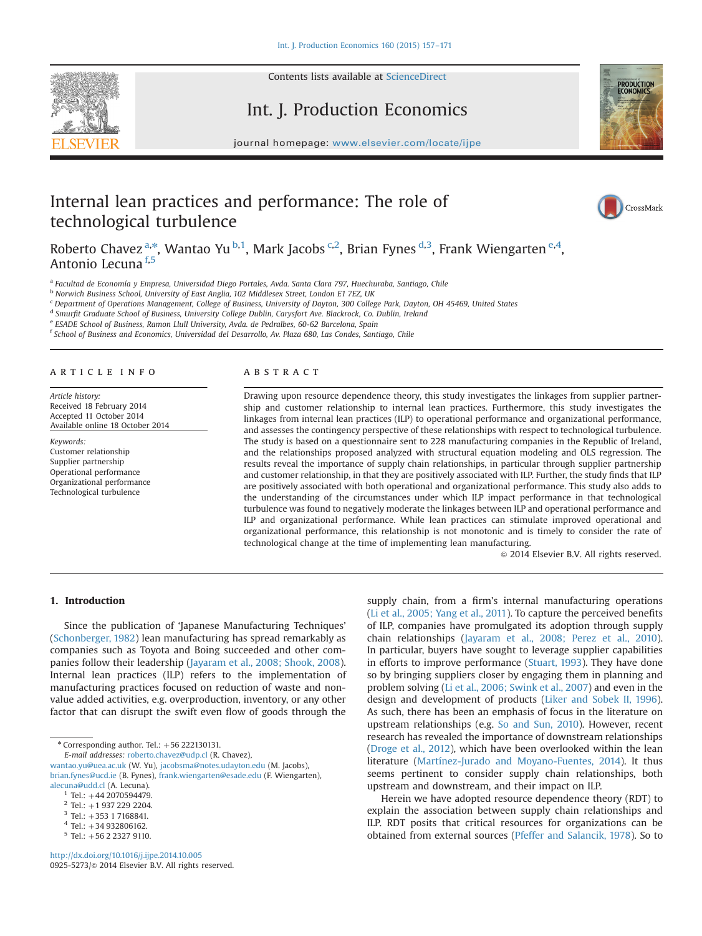

Contents lists available at [ScienceDirect](www.sciencedirect.com/science/journal/09255273)

# Int. J. Production Economics



journal homepage: <www.elsevier.com/locate/ijpe>

# Internal lean practices and performance: The role of technological turbulence



Roberto Chavez <sup>a,\*</sup>, Wantao Yu <sup>b,1</sup>, Mark Jacobs <sup>c,2</sup>, Brian Fynes <sup>d,3</sup>, Frank Wiengarten <sup>e,4</sup>, Antonio Lecuna f,5

<sup>a</sup> Facultad de Economía y Empresa, Universidad Diego Portales, Avda. Santa Clara 797, Huechuraba, Santiago, Chile

<sup>b</sup> Norwich Business School, University of East Anglia, 102 Middlesex Street, London E1 7EZ, UK

<sup>c</sup> Department of Operations Management, College of Business, University of Dayton, 300 College Park, Dayton, OH 45469, United States

<sup>d</sup> Smurfit Graduate School of Business, University College Dublin, Carysfort Ave. Blackrock, Co. Dublin, Ireland

e ESADE School of Business, Ramon Llull University, Avda. de Pedralbes, 60-62 Barcelona, Spain

<sup>f</sup> School of Business and Economics, Universidad del Desarrollo, Av. Plaza 680, Las Condes, Santiago, Chile

#### article info

Article history: Received 18 February 2014 Accepted 11 October 2014 Available online 18 October 2014

Keywords: Customer relationship Supplier partnership Operational performance Organizational performance Technological turbulence

## ABSTRACT

Drawing upon resource dependence theory, this study investigates the linkages from supplier partnership and customer relationship to internal lean practices. Furthermore, this study investigates the linkages from internal lean practices (ILP) to operational performance and organizational performance, and assesses the contingency perspective of these relationships with respect to technological turbulence. The study is based on a questionnaire sent to 228 manufacturing companies in the Republic of Ireland, and the relationships proposed analyzed with structural equation modeling and OLS regression. The results reveal the importance of supply chain relationships, in particular through supplier partnership and customer relationship, in that they are positively associated with ILP. Further, the study finds that ILP are positively associated with both operational and organizational performance. This study also adds to the understanding of the circumstances under which ILP impact performance in that technological turbulence was found to negatively moderate the linkages between ILP and operational performance and ILP and organizational performance. While lean practices can stimulate improved operational and organizational performance, this relationship is not monotonic and is timely to consider the rate of technological change at the time of implementing lean manufacturing.

 $\odot$  2014 Elsevier B.V. All rights reserved.

## 1. Introduction

Since the publication of 'Japanese Manufacturing Techniques' ([Schonberger, 1982\)](#page-13-0) lean manufacturing has spread remarkably as companies such as Toyota and Boing succeeded and other companies follow their leadership [\(Jayaram et al., 2008; Shook, 2008\)](#page-13-0). Internal lean practices (ILP) refers to the implementation of manufacturing practices focused on reduction of waste and nonvalue added activities, e.g. overproduction, inventory, or any other factor that can disrupt the swift even flow of goods through the

 $*$  Corresponding author. Tel.:  $+56$  222130131.

E-mail addresses: [roberto.chavez@udp.cl](mailto:roberto.chavez@udp.cl) (R. Chavez),

[wantao.yu@uea.ac.uk](mailto:wantao.yu@uea.ac.uk) (W. Yu), [jacobsma@notes.udayton.edu](mailto:jacobsma@notes.udayton.edu) (M. Jacobs), [brian.fynes@ucd.ie](mailto:brian.fynes@ucd.ie) (B. Fynes), [frank.wiengarten@esade.edu](mailto:frank.wiengarten@esade.edu) (F. Wiengarten), [alecuna@udd.cl](mailto:alecuna@udd.cl) (A. Lecuna).<br><sup>1</sup> Tel.: +44 2070594479.

supply chain, from a firm's internal manufacturing operations ([Li et al., 2005; Yang et al., 2011](#page-14-0)). To capture the perceived benefits of ILP, companies have promulgated its adoption through supply chain relationships [\(Jayaram et al., 2008; Perez et al., 2010\)](#page-13-0). In particular, buyers have sought to leverage supplier capabilities in efforts to improve performance [\(Stuart, 1993\)](#page-13-0). They have done so by bringing suppliers closer by engaging them in planning and problem solving ([Li et al., 2006; Swink et al., 2007](#page-13-0)) and even in the design and development of products ([Liker and Sobek II, 1996\)](#page-13-0). As such, there has been an emphasis of focus in the literature on upstream relationships (e.g. [So and Sun, 2010](#page-13-0)). However, recent research has revealed the importance of downstream relationships ([Droge et al., 2012](#page-12-0)), which have been overlooked within the lean literature [\(Martínez-Jurado and Moyano-Fuentes, 2014\)](#page-13-0). It thus seems pertinent to consider supply chain relationships, both upstream and downstream, and their impact on ILP.

Herein we have adopted resource dependence theory (RDT) to explain the association between supply chain relationships and ILP. RDT posits that critical resources for organizations can be obtained from external sources [\(Pfeffer and Salancik, 1978](#page-13-0)). So to

<sup>1</sup> Tel.:  $+1$  937 229 2204.<br>
<sup>3</sup> Tel.:  $+353$  1 7168841.<br>
<sup>4</sup> Tel.:  $+34$  932806162.<br>
<sup>5</sup> Tel.:  $+56$  2 2327 9110.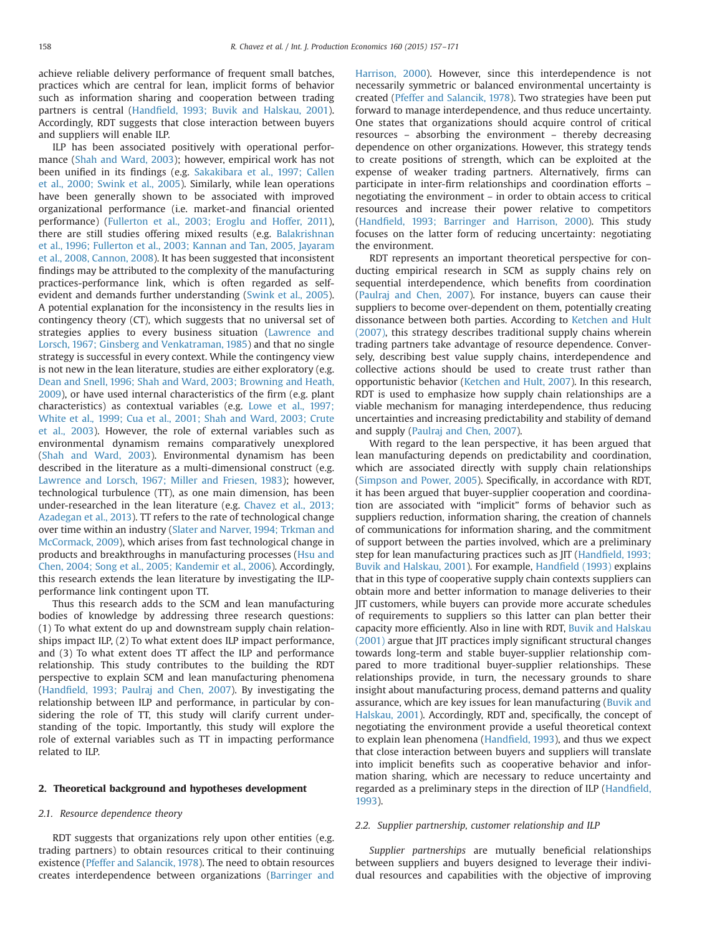achieve reliable delivery performance of frequent small batches, practices which are central for lean, implicit forms of behavior such as information sharing and cooperation between trading partners is central (Handfi[eld, 1993; Buvik and Halskau, 2001\)](#page-12-0). Accordingly, RDT suggests that close interaction between buyers and suppliers will enable ILP.

ILP has been associated positively with operational performance ([Shah and Ward, 2003\)](#page-13-0); however, empirical work has not been unified in its findings (e.g. [Sakakibara et al., 1997; Callen](#page-12-0) [et al., 2000; Swink et al., 2005](#page-13-0)). Similarly, while lean operations have been generally shown to be associated with improved organizational performance (i.e. market-and financial oriented performance) ([Fullerton et al., 2003; Eroglu and Hoffer, 2011\)](#page-12-0), there are still studies offering mixed results (e.g. [Balakrishnan](#page-12-0) [et al., 1996; Fullerton et al., 2003; Kannan and Tan, 2005, Jayaram](#page-13-0) [et al., 2008, Cannon, 2008](#page-12-0)). It has been suggested that inconsistent findings may be attributed to the complexity of the manufacturing practices-performance link, which is often regarded as selfevident and demands further understanding ([Swink et al., 2005\)](#page-13-0). A potential explanation for the inconsistency in the results lies in contingency theory (CT), which suggests that no universal set of strategies applies to every business situation ([Lawrence and](#page-13-0) [Lorsch, 1967; Ginsberg and Venkatraman, 1985](#page-12-0)) and that no single strategy is successful in every context. While the contingency view is not new in the lean literature, studies are either exploratory (e.g. [Dean and Snell, 1996; Shah and Ward, 2003; Browning and Heath,](#page-12-0) [2009\)](#page-12-0), or have used internal characteristics of the firm (e.g. plant characteristics) as contextual variables (e.g. [Lowe et al., 1997;](#page-13-0) White et al., [1999; Cua et al., 2001; Shah and Ward, 2003; Crute](#page-12-0) [et al., 2003\)](#page-12-0). However, the role of external variables such as environmental dynamism remains comparatively unexplored ([Shah and Ward, 2003](#page-13-0)). Environmental dynamism has been described in the literature as a multi-dimensional construct (e.g. [Lawrence and Lorsch, 1967; Miller and Friesen, 1983\)](#page-13-0); however, technological turbulence (TT), as one main dimension, has been under-researched in the lean literature (e.g. [Chavez et al., 2013;](#page-12-0) [Azadegan et al., 2013\)](#page-12-0). TT refers to the rate of technological change over time within an industry [\(Slater and Narver, 1994; Trkman and](#page-14-0) [McCormack, 2009](#page-14-0)), which arises from fast technological change in products and breakthroughs in manufacturing processes [\(Hsu and](#page-12-0) [Chen, 2004; Song et al., 2005; Kandemir et al., 2006](#page-13-0)). Accordingly, this research extends the lean literature by investigating the ILPperformance link contingent upon TT.

Thus this research adds to the SCM and lean manufacturing bodies of knowledge by addressing three research questions: (1) To what extent do up and downstream supply chain relationships impact ILP, (2) To what extent does ILP impact performance, and (3) To what extent does TT affect the ILP and performance relationship. This study contributes to the building the RDT perspective to explain SCM and lean manufacturing phenomena (Handfi[eld, 1993; Paulraj and Chen, 2007](#page-13-0)). By investigating the relationship between ILP and performance, in particular by considering the role of TT, this study will clarify current understanding of the topic. Importantly, this study will explore the role of external variables such as TT in impacting performance related to ILP.

## 2. Theoretical background and hypotheses development

## 2.1. Resource dependence theory

RDT suggests that organizations rely upon other entities (e.g. trading partners) to obtain resources critical to their continuing existence ([Pfeffer and Salancik, 1978\)](#page-13-0). The need to obtain resources creates interdependence between organizations [\(Barringer and](#page-12-0)

[Harrison, 2000\)](#page-12-0). However, since this interdependence is not necessarily symmetric or balanced environmental uncertainty is created [\(Pfeffer and Salancik, 1978\)](#page-13-0). Two strategies have been put forward to manage interdependence, and thus reduce uncertainty. One states that organizations should acquire control of critical resources – absorbing the environment – thereby decreasing dependence on other organizations. However, this strategy tends to create positions of strength, which can be exploited at the expense of weaker trading partners. Alternatively, firms can participate in inter-firm relationships and coordination efforts – negotiating the environment – in order to obtain access to critical resources and increase their power relative to competitors (Handfi[eld, 1993; Barringer and Harrison, 2000\)](#page-12-0). This study focuses on the latter form of reducing uncertainty: negotiating the environment.

RDT represents an important theoretical perspective for conducting empirical research in SCM as supply chains rely on sequential interdependence, which benefits from coordination ([Paulraj and Chen, 2007](#page-13-0)). For instance, buyers can cause their suppliers to become over-dependent on them, potentially creating dissonance between both parties. According to [Ketchen and Hult](#page-13-0) [\(2007\),](#page-13-0) this strategy describes traditional supply chains wherein trading partners take advantage of resource dependence. Conversely, describing best value supply chains, interdependence and collective actions should be used to create trust rather than opportunistic behavior ([Ketchen and Hult, 2007](#page-13-0)). In this research, RDT is used to emphasize how supply chain relationships are a viable mechanism for managing interdependence, thus reducing uncertainties and increasing predictability and stability of demand and supply ([Paulraj and Chen, 2007](#page-13-0)).

With regard to the lean perspective, it has been argued that lean manufacturing depends on predictability and coordination, which are associated directly with supply chain relationships ([Simpson and Power, 2005](#page-13-0)). Specifically, in accordance with RDT, it has been argued that buyer-supplier cooperation and coordination are associated with "implicit" forms of behavior such as suppliers reduction, information sharing, the creation of channels of communications for information sharing, and the commitment of support between the parties involved, which are a preliminary step for lean manufacturing practices such as JIT (Handfi[eld, 1993;](#page-12-0) [Buvik and Halskau, 2001\)](#page-12-0). For example, Handfi[eld \(1993\)](#page-12-0) explains that in this type of cooperative supply chain contexts suppliers can obtain more and better information to manage deliveries to their JIT customers, while buyers can provide more accurate schedules of requirements to suppliers so this latter can plan better their capacity more efficiently. Also in line with RDT, [Buvik and Halskau](#page-12-0) [\(2001\)](#page-12-0) argue that JIT practices imply significant structural changes towards long-term and stable buyer-supplier relationship compared to more traditional buyer-supplier relationships. These relationships provide, in turn, the necessary grounds to share insight about manufacturing process, demand patterns and quality assurance, which are key issues for lean manufacturing [\(Buvik and](#page-12-0) [Halskau, 2001\)](#page-12-0). Accordingly, RDT and, specifically, the concept of negotiating the environment provide a useful theoretical context to explain lean phenomena (Handfi[eld, 1993\)](#page-12-0), and thus we expect that close interaction between buyers and suppliers will translate into implicit benefits such as cooperative behavior and information sharing, which are necessary to reduce uncertainty and regarded as a preliminary steps in the direction of ILP ([Hand](#page-12-0)field, [1993](#page-12-0)).

#### 2.2. Supplier partnership, customer relationship and ILP

Supplier partnerships are mutually beneficial relationships between suppliers and buyers designed to leverage their individual resources and capabilities with the objective of improving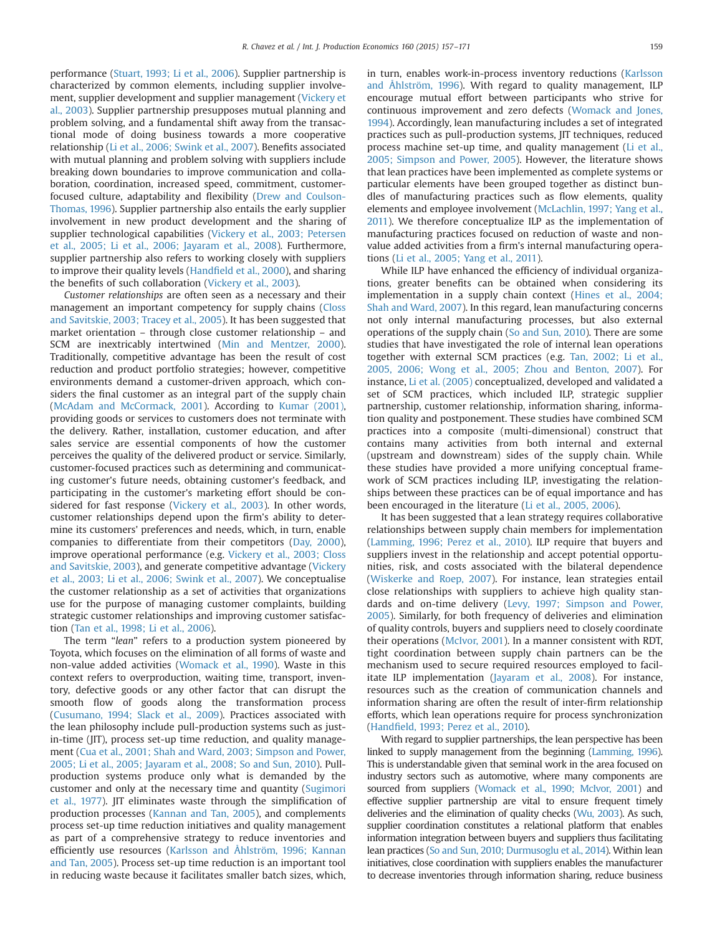performance ([Stuart, 1993; Li et al., 2006\)](#page-13-0). Supplier partnership is characterized by common elements, including supplier involvement, supplier development and supplier management ([Vickery et](#page-14-0) [al., 2003\)](#page-14-0). Supplier partnership presupposes mutual planning and problem solving, and a fundamental shift away from the transactional mode of doing business towards a more cooperative relationship [\(Li et al., 2006; Swink et al., 2007](#page-13-0)). Benefits associated with mutual planning and problem solving with suppliers include breaking down boundaries to improve communication and collaboration, coordination, increased speed, commitment, customerfocused culture, adaptability and flexibility ([Drew and Coulson-](#page-12-0)[Thomas, 1996](#page-12-0)). Supplier partnership also entails the early supplier involvement in new product development and the sharing of supplier technological capabilities [\(Vickery et al., 2003; Petersen](#page-13-0) [et al., 2005; Li et al., 2006; Jayaram et al., 2008\)](#page-13-0). Furthermore, supplier partnership also refers to working closely with suppliers to improve their quality levels (Handfi[eld et al., 2000](#page-12-0)), and sharing the benefits of such collaboration [\(Vickery et al., 2003](#page-14-0)).

Customer relationships are often seen as a necessary and their management an important competency for supply chains [\(Closs](#page-12-0) [and Savitskie, 2003; Tracey et al., 2005](#page-14-0)). It has been suggested that market orientation – through close customer relationship – and SCM are inextricably intertwined [\(Min and Mentzer, 2000\)](#page-13-0). Traditionally, competitive advantage has been the result of cost reduction and product portfolio strategies; however, competitive environments demand a customer-driven approach, which considers the final customer as an integral part of the supply chain ([McAdam and McCormack, 2001\)](#page-13-0). According to [Kumar \(2001\),](#page-13-0) providing goods or services to customers does not terminate with the delivery. Rather, installation, customer education, and after sales service are essential components of how the customer perceives the quality of the delivered product or service. Similarly, customer-focused practices such as determining and communicating customer's future needs, obtaining customer's feedback, and participating in the customer's marketing effort should be considered for fast response ([Vickery et al., 2003\)](#page-14-0). In other words, customer relationships depend upon the firm's ability to determine its customers' preferences and needs, which, in turn, enable companies to differentiate from their competitors ([Day, 2000\)](#page-12-0), improve operational performance (e.g. [Vickery et al., 2003; Closs](#page-12-0) [and Savitskie, 2003\)](#page-12-0), and generate competitive advantage [\(Vickery](#page-14-0) [et al., 2003; Li et al., 2006; Swink et al., 2007\)](#page-13-0). We conceptualise the customer relationship as a set of activities that organizations use for the purpose of managing customer complaints, building strategic customer relationships and improving customer satisfaction [\(Tan et al., 1998; Li et al., 2006](#page-13-0)).

The term "lean" refers to a production system pioneered by Toyota, which focuses on the elimination of all forms of waste and non-value added activities [\(Womack et al., 1990](#page-14-0)). Waste in this context refers to overproduction, waiting time, transport, inventory, defective goods or any other factor that can disrupt the smooth flow of goods along the transformation process ([Cusumano, 1994; Slack et al., 2009](#page-13-0)). Practices associated with the lean philosophy include pull-production systems such as justin-time (JIT), process set-up time reduction, and quality management ([Cua et al., 2001; Shah and Ward, 2003; Simpson and Power,](#page-13-0) [2005; Li et al., 2005; Jayaram et al., 2008; So and Sun, 2010](#page-13-0)). Pullproduction systems produce only what is demanded by the customer and only at the necessary time and quantity [\(Sugimori](#page-13-0) [et al., 1977](#page-13-0)). JIT eliminates waste through the simplification of production processes ([Kannan and Tan, 2005\)](#page-13-0), and complements process set-up time reduction initiatives and quality management as part of a comprehensive strategy to reduce inventories and efficiently use resources [\(Karlsson and Åhlström, 1996; Kannan](#page-13-0) [and Tan, 2005\)](#page-13-0). Process set-up time reduction is an important tool in reducing waste because it facilitates smaller batch sizes, which, in turn, enables work-in-process inventory reductions [\(Karlsson](#page-13-0) [and Åhlström, 1996\)](#page-13-0). With regard to quality management, ILP encourage mutual effort between participants who strive for continuous improvement and zero defects [\(Womack and Jones,](#page-14-0) [1994](#page-14-0)). Accordingly, lean manufacturing includes a set of integrated practices such as pull-production systems, JIT techniques, reduced process machine set-up time, and quality management ([Li et al.,](#page-13-0) [2005; Simpson and Power, 2005\)](#page-13-0). However, the literature shows that lean practices have been implemented as complete systems or particular elements have been grouped together as distinct bundles of manufacturing practices such as flow elements, quality elements and employee involvement ([McLachlin, 1997; Yang et al.,](#page-14-0) [2011](#page-14-0)). We therefore conceptualize ILP as the implementation of manufacturing practices focused on reduction of waste and nonvalue added activities from a firm's internal manufacturing operations [\(Li et al., 2005; Yang et al., 2011\)](#page-14-0).

While ILP have enhanced the efficiency of individual organizations, greater benefits can be obtained when considering its implementation in a supply chain context ([Hines et al., 2004;](#page-12-0) [Shah and Ward, 2007](#page-13-0)). In this regard, lean manufacturing concerns not only internal manufacturing processes, but also external operations of the supply chain [\(So and Sun, 2010\)](#page-13-0). There are some studies that have investigated the role of internal lean operations together with external SCM practices (e.g. [Tan, 2002; Li et al.,](#page-13-0) [2005, 2006; Wong et al., 2005; Zhou and Benton, 2007\)](#page-14-0). For instance, [Li et al. \(2005\)](#page-13-0) conceptualized, developed and validated a set of SCM practices, which included ILP, strategic supplier partnership, customer relationship, information sharing, information quality and postponement. These studies have combined SCM practices into a composite (multi-dimensional) construct that contains many activities from both internal and external (upstream and downstream) sides of the supply chain. While these studies have provided a more unifying conceptual framework of SCM practices including ILP, investigating the relationships between these practices can be of equal importance and has been encouraged in the literature ([Li et al., 2005, 2006\)](#page-13-0).

It has been suggested that a lean strategy requires collaborative relationships between supply chain members for implementation ([Lamming, 1996; Perez et al., 2010\)](#page-13-0). ILP require that buyers and suppliers invest in the relationship and accept potential opportunities, risk, and costs associated with the bilateral dependence ([Wiskerke and Roep, 2007](#page-14-0)). For instance, lean strategies entail close relationships with suppliers to achieve high quality standards and on-time delivery ([Levy, 1997; Simpson and Power,](#page-13-0) [2005\)](#page-13-0). Similarly, for both frequency of deliveries and elimination of quality controls, buyers and suppliers need to closely coordinate their operations [\(McIvor, 2001\)](#page-13-0). In a manner consistent with RDT, tight coordination between supply chain partners can be the mechanism used to secure required resources employed to facilitate ILP implementation [\(Jayaram et al., 2008\)](#page-13-0). For instance, resources such as the creation of communication channels and information sharing are often the result of inter-firm relationship efforts, which lean operations require for process synchronization (Handfi[eld, 1993; Perez et al., 2010\)](#page-13-0).

With regard to supplier partnerships, the lean perspective has been linked to supply management from the beginning [\(Lamming, 1996\)](#page-13-0). This is understandable given that seminal work in the area focused on industry sectors such as automotive, where many components are sourced from suppliers [\(Womack et al., 1990; McIvor, 2001](#page-13-0)) and effective supplier partnership are vital to ensure frequent timely deliveries and the elimination of quality checks ([Wu, 2003](#page-14-0)). As such, supplier coordination constitutes a relational platform that enables information integration between buyers and suppliers thus facilitating lean practices ([So and Sun, 2010; Durmusoglu et al., 2014\)](#page-12-0). Within lean initiatives, close coordination with suppliers enables the manufacturer to decrease inventories through information sharing, reduce business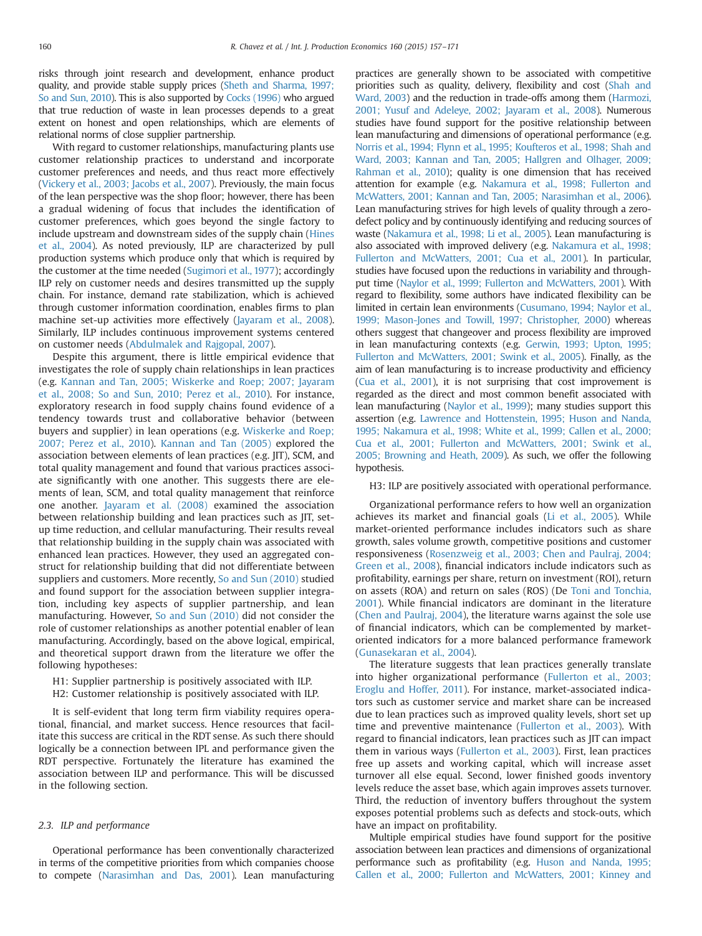risks through joint research and development, enhance product quality, and provide stable supply prices [\(Sheth and Sharma, 1997;](#page-13-0) [So and Sun, 2010](#page-13-0)). This is also supported by [Cocks \(1996\)](#page-12-0) who argued that true reduction of waste in lean processes depends to a great extent on honest and open relationships, which are elements of relational norms of close supplier partnership.

With regard to customer relationships, manufacturing plants use customer relationship practices to understand and incorporate customer preferences and needs, and thus react more effectively ([Vickery et al., 2003; Jacobs et al., 2007\)](#page-13-0). Previously, the main focus of the lean perspective was the shop floor; however, there has been a gradual widening of focus that includes the identification of customer preferences, which goes beyond the single factory to include upstream and downstream sides of the supply chain ([Hines](#page-12-0) [et al., 2004\)](#page-12-0). As noted previously, ILP are characterized by pull production systems which produce only that which is required by the customer at the time needed ([Sugimori et al., 1977](#page-13-0)); accordingly ILP rely on customer needs and desires transmitted up the supply chain. For instance, demand rate stabilization, which is achieved through customer information coordination, enables firms to plan machine set-up activities more effectively [\(Jayaram et al., 2008\)](#page-13-0). Similarly, ILP includes continuous improvement systems centered on customer needs ([Abdulmalek and Rajgopal, 2007](#page-12-0)).

Despite this argument, there is little empirical evidence that investigates the role of supply chain relationships in lean practices (e.g. [Kannan and Tan, 2005; Wiskerke and Roep; 2007; Jayaram](#page-13-0) [et al., 2008; So and Sun, 2010; Perez et al., 2010](#page-13-0)). For instance, exploratory research in food supply chains found evidence of a tendency towards trust and collaborative behavior (between buyers and supplier) in lean operations (e.g. [Wiskerke and Roep;](#page-14-0) [2007; Perez et al., 2010](#page-13-0)). [Kannan and Tan \(2005\)](#page-13-0) explored the association between elements of lean practices (e.g. JIT), SCM, and total quality management and found that various practices associate significantly with one another. This suggests there are elements of lean, SCM, and total quality management that reinforce one another. [Jayaram et al. \(2008\)](#page-13-0) examined the association between relationship building and lean practices such as JIT, setup time reduction, and cellular manufacturing. Their results reveal that relationship building in the supply chain was associated with enhanced lean practices. However, they used an aggregated construct for relationship building that did not differentiate between suppliers and customers. More recently, [So and Sun \(2010\)](#page-13-0) studied and found support for the association between supplier integration, including key aspects of supplier partnership, and lean manufacturing. However, [So and Sun \(2010\)](#page-13-0) did not consider the role of customer relationships as another potential enabler of lean manufacturing. Accordingly, based on the above logical, empirical, and theoretical support drawn from the literature we offer the following hypotheses:

- H1: Supplier partnership is positively associated with ILP.
- H2: Customer relationship is positively associated with ILP.

It is self-evident that long term firm viability requires operational, financial, and market success. Hence resources that facilitate this success are critical in the RDT sense. As such there should logically be a connection between IPL and performance given the RDT perspective. Fortunately the literature has examined the association between ILP and performance. This will be discussed in the following section.

#### 2.3. ILP and performance

Operational performance has been conventionally characterized in terms of the competitive priorities from which companies choose to compete ([Narasimhan and Das, 2001](#page-13-0)). Lean manufacturing practices are generally shown to be associated with competitive priorities such as quality, delivery, flexibility and cost ([Shah and](#page-13-0) [Ward, 2003\)](#page-13-0) and the reduction in trade-offs among them ([Harmozi,](#page-12-0) [2001; Yusuf and Adeleye, 2002; Jayaram et al., 2008\)](#page-13-0). Numerous studies have found support for the positive relationship between lean manufacturing and dimensions of operational performance (e.g. [Norris et al., 1994; Flynn et al., 1995; Koufteros et al., 1998; Shah and](#page-13-0) [Ward, 2003; Kannan and Tan, 2005; Hallgren and Olhager, 2009;](#page-12-0) [Rahman et al., 2010](#page-13-0)); quality is one dimension that has received attention for example (e.g. [Nakamura et al., 1998; Fullerton and](#page-12-0) [McWatters, 2001; Kannan and Tan, 2005; Narasimhan et al., 2006\)](#page-13-0). Lean manufacturing strives for high levels of quality through a zerodefect policy and by continuously identifying and reducing sources of waste [\(Nakamura et al., 1998; Li et al., 2005\)](#page-13-0). Lean manufacturing is also associated with improved delivery (e.g. [Nakamura et al., 1998;](#page-13-0) [Fullerton and McWatters, 2001; Cua et al., 2001](#page-12-0)). In particular, studies have focused upon the reductions in variability and throughput time [\(Naylor et al., 1999; Fullerton and McWatters, 2001\)](#page-12-0). With regard to flexibility, some authors have indicated flexibility can be limited in certain lean environments [\(Cusumano, 1994; Naylor et al.,](#page-13-0) [1999; Mason-Jones and Towill, 1997; Christopher, 2000\)](#page-12-0) whereas others suggest that changeover and process flexibility are improved in lean manufacturing contexts (e.g. [Gerwin, 1993; Upton, 1995;](#page-14-0) [Fullerton and McWatters, 2001; Swink et al., 2005\)](#page-13-0). Finally, as the aim of lean manufacturing is to increase productivity and efficiency ([Cua et al., 2001](#page-12-0)), it is not surprising that cost improvement is regarded as the direct and most common benefit associated with lean manufacturing ([Naylor et al., 1999\)](#page-13-0); many studies support this assertion (e.g. [Lawrence and Hottenstein, 1995; Huson and Nanda,](#page-12-0) [1995; Nakamura et al., 1998; White et al., 1999; Callen et al., 2000;](#page-12-0) [Cua et al., 2001; Fullerton and McWatters, 2001; Swink et al.,](#page-13-0) [2005; Browning and Heath, 2009](#page-13-0)). As such, we offer the following hypothesis.

H3: ILP are positively associated with operational performance.

Organizational performance refers to how well an organization achieves its market and financial goals [\(Li et al., 2005\)](#page-13-0). While market-oriented performance includes indicators such as share growth, sales volume growth, competitive positions and customer responsiveness ([Rosenzweig et al., 2003; Chen and Paulraj, 2004;](#page-12-0) [Green et al., 2008](#page-12-0)), financial indicators include indicators such as profitability, earnings per share, return on investment (ROI), return on assets (ROA) and return on sales (ROS) (De [Toni and Tonchia,](#page-12-0) [2001\)](#page-12-0). While financial indicators are dominant in the literature ([Chen and Paulraj, 2004\)](#page-12-0), the literature warns against the sole use of financial indicators, which can be complemented by marketoriented indicators for a more balanced performance framework ([Gunasekaran et al., 2004](#page-12-0)).

The literature suggests that lean practices generally translate into higher organizational performance [\(Fullerton et al., 2003;](#page-12-0) [Eroglu and Hoffer, 2011\)](#page-12-0). For instance, market-associated indicators such as customer service and market share can be increased due to lean practices such as improved quality levels, short set up time and preventive maintenance ([Fullerton et al., 2003\)](#page-12-0). With regard to financial indicators, lean practices such as JIT can impact them in various ways ([Fullerton et al., 2003\)](#page-12-0). First, lean practices free up assets and working capital, which will increase asset turnover all else equal. Second, lower finished goods inventory levels reduce the asset base, which again improves assets turnover. Third, the reduction of inventory buffers throughout the system exposes potential problems such as defects and stock-outs, which have an impact on profitability.

Multiple empirical studies have found support for the positive association between lean practices and dimensions of organizational performance such as profitability (e.g. [Huson and Nanda, 1995;](#page-12-0) [Callen et al., 2000; Fullerton and McWatters, 2001; Kinney and](#page-13-0)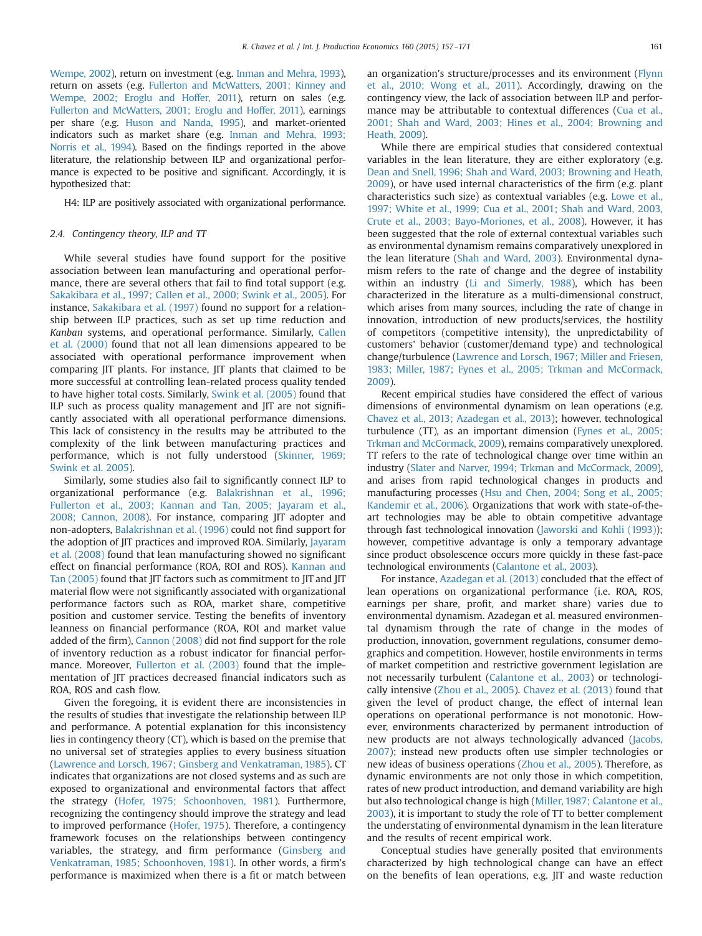[Wempe, 2002](#page-13-0)), return on investment (e.g. [Inman and Mehra, 1993\)](#page-13-0), return on assets (e.g. [Fullerton and McWatters, 2001; Kinney and](#page-13-0) [Wempe, 2002; Eroglu and Hoffer, 2011](#page-12-0)), return on sales (e.g. [Fullerton and McWatters, 2001; Eroglu and Hoffer, 2011](#page-12-0)), earnings per share (e.g. [Huson and Nanda, 1995\)](#page-12-0), and market-oriented indicators such as market share (e.g. [Inman and Mehra, 1993;](#page-13-0) [Norris et al., 1994\)](#page-13-0). Based on the findings reported in the above literature, the relationship between ILP and organizational performance is expected to be positive and significant. Accordingly, it is hypothesized that:

H4: ILP are positively associated with organizational performance.

## 2.4. Contingency theory, ILP and TT

While several studies have found support for the positive association between lean manufacturing and operational performance, there are several others that fail to find total support (e.g. [Sakakibara et al., 1997; Callen et al., 2000; Swink et al., 2005\)](#page-13-0). For instance, [Sakakibara et al. \(1997\)](#page-13-0) found no support for a relationship between ILP practices, such as set up time reduction and Kanban systems, and operational performance. Similarly, [Callen](#page-12-0) [et al. \(2000\)](#page-12-0) found that not all lean dimensions appeared to be associated with operational performance improvement when comparing JIT plants. For instance, JIT plants that claimed to be more successful at controlling lean-related process quality tended to have higher total costs. Similarly, [Swink et al. \(2005\)](#page-13-0) found that ILP such as process quality management and JIT are not significantly associated with all operational performance dimensions. This lack of consistency in the results may be attributed to the complexity of the link between manufacturing practices and performance, which is not fully understood [\(Skinner, 1969;](#page-13-0) [Swink et al. 2005](#page-13-0)).

Similarly, some studies also fail to significantly connect ILP to organizational performance (e.g. [Balakrishnan et al., 1996;](#page-12-0) [Fullerton et al., 2003; Kannan and Tan, 2005; Jayaram et al.,](#page-13-0) [2008; Cannon, 2008](#page-12-0)). For instance, comparing JIT adopter and non-adopters, [Balakrishnan et al. \(1996\)](#page-12-0) could not find support for the adoption of JIT practices and improved ROA. Similarly, [Jayaram](#page-13-0) [et al. \(2008\)](#page-13-0) found that lean manufacturing showed no significant effect on financial performance (ROA, ROI and ROS). [Kannan and](#page-13-0) [Tan \(2005\)](#page-13-0) found that JIT factors such as commitment to JIT and JIT material flow were not significantly associated with organizational performance factors such as ROA, market share, competitive position and customer service. Testing the benefits of inventory leanness on financial performance (ROA, ROI and market value added of the firm), [Cannon \(2008\)](#page-12-0) did not find support for the role of inventory reduction as a robust indicator for financial performance. Moreover, [Fullerton et al. \(2003\)](#page-12-0) found that the implementation of JIT practices decreased financial indicators such as ROA, ROS and cash flow.

Given the foregoing, it is evident there are inconsistencies in the results of studies that investigate the relationship between ILP and performance. A potential explanation for this inconsistency lies in contingency theory (CT), which is based on the premise that no universal set of strategies applies to every business situation ([Lawrence and Lorsch, 1967; Ginsberg and Venkatraman, 1985\)](#page-12-0). CT indicates that organizations are not closed systems and as such are exposed to organizational and environmental factors that affect the strategy ([Hofer, 1975; Schoonhoven, 1981\)](#page-13-0). Furthermore, recognizing the contingency should improve the strategy and lead to improved performance [\(Hofer, 1975\)](#page-12-0). Therefore, a contingency framework focuses on the relationships between contingency variables, the strategy, and firm performance ([Ginsberg and](#page-12-0) [Venkatraman, 1985; Schoonhoven, 1981](#page-13-0)). In other words, a firm's performance is maximized when there is a fit or match between

an organization's structure/processes and its environment ([Flynn](#page-12-0) [et al., 2010; Wong et al., 2011](#page-14-0)). Accordingly, drawing on the contingency view, the lack of association between ILP and performance may be attributable to contextual differences ([Cua et al.,](#page-12-0) [2001; Shah and Ward, 2003; Hines et al., 2004; Browning and](#page-12-0) [Heath, 2009](#page-12-0)).

While there are empirical studies that considered contextual variables in the lean literature, they are either exploratory (e.g. [Dean and Snell, 1996; Shah and Ward, 2003; Browning and Heath,](#page-12-0) [2009\)](#page-12-0), or have used internal characteristics of the firm (e.g. plant characteristics such size) as contextual variables (e.g. [Lowe et al.,](#page-13-0) [1997; White et al., 1999; Cua et al., 2001; Shah and Ward, 2003,](#page-13-0) [Crute et al., 2003; Bayo-Moriones, et al., 2008](#page-12-0)). However, it has been suggested that the role of external contextual variables such as environmental dynamism remains comparatively unexplored in the lean literature [\(Shah and Ward, 2003\)](#page-13-0). Environmental dynamism refers to the rate of change and the degree of instability within an industry [\(Li and Simerly, 1988](#page-13-0)), which has been characterized in the literature as a multi-dimensional construct, which arises from many sources, including the rate of change in innovation, introduction of new products/services, the hostility of competitors (competitive intensity), the unpredictability of customers' behavior (customer/demand type) and technological change/turbulence [\(Lawrence and Lorsch, 1967; Miller and Friesen,](#page-13-0) [1983; Miller, 1987; Fynes et al., 2005; Trkman and McCormack,](#page-14-0) [2009\)](#page-14-0).

Recent empirical studies have considered the effect of various dimensions of environmental dynamism on lean operations (e.g. [Chavez et al., 2013; Azadegan et al., 2013\)](#page-12-0); however, technological turbulence (TT), as an important dimension ([Fynes et al., 2005;](#page-12-0) [Trkman and McCormack, 2009\)](#page-14-0), remains comparatively unexplored. TT refers to the rate of technological change over time within an industry [\(Slater and Narver, 1994; Trkman and McCormack, 2009\)](#page-14-0), and arises from rapid technological changes in products and manufacturing processes [\(Hsu and Chen, 2004; Song et al., 2005;](#page-13-0) [Kandemir et al., 2006](#page-13-0)). Organizations that work with state-of-theart technologies may be able to obtain competitive advantage through fast technological innovation ([Jaworski and Kohli \(1993\)\)](#page-13-0); however, competitive advantage is only a temporary advantage since product obsolescence occurs more quickly in these fast-pace technological environments [\(Calantone et al., 2003\)](#page-12-0).

For instance, [Azadegan et al. \(2013\)](#page-12-0) concluded that the effect of lean operations on organizational performance (i.e. ROA, ROS, earnings per share, profit, and market share) varies due to environmental dynamism. Azadegan et al. measured environmental dynamism through the rate of change in the modes of production, innovation, government regulations, consumer demographics and competition. However, hostile environments in terms of market competition and restrictive government legislation are not necessarily turbulent [\(Calantone et al., 2003](#page-12-0)) or technologically intensive ([Zhou et al., 2005\)](#page-14-0). [Chavez et al. \(2013\)](#page-12-0) found that given the level of product change, the effect of internal lean operations on operational performance is not monotonic. However, environments characterized by permanent introduction of new products are not always technologically advanced [\(Jacobs,](#page-13-0) [2007\)](#page-13-0); instead new products often use simpler technologies or new ideas of business operations ([Zhou et al., 2005](#page-14-0)). Therefore, as dynamic environments are not only those in which competition, rates of new product introduction, and demand variability are high but also technological change is high [\(Miller, 1987; Calantone et al.,](#page-12-0) [2003\)](#page-12-0), it is important to study the role of TT to better complement the understating of environmental dynamism in the lean literature and the results of recent empirical work.

Conceptual studies have generally posited that environments characterized by high technological change can have an effect on the benefits of lean operations, e.g. JIT and waste reduction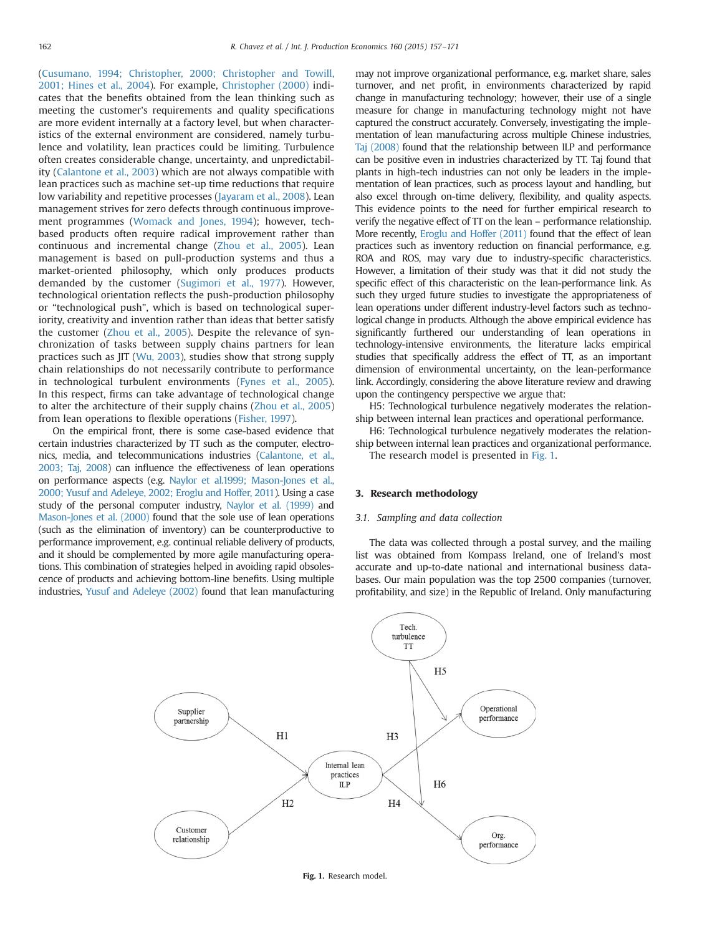([Cusumano, 1994; Christopher, 2000; Christopher and Towill,](#page-12-0) [2001; Hines et al., 2004](#page-12-0)). For example, [Christopher \(2000\)](#page-12-0) indicates that the benefits obtained from the lean thinking such as meeting the customer's requirements and quality specifications are more evident internally at a factory level, but when characteristics of the external environment are considered, namely turbulence and volatility, lean practices could be limiting. Turbulence often creates considerable change, uncertainty, and unpredictability [\(Calantone et al., 2003](#page-12-0)) which are not always compatible with lean practices such as machine set-up time reductions that require low variability and repetitive processes [\(Jayaram et al., 2008](#page-13-0)). Lean management strives for zero defects through continuous improvement programmes [\(Womack and Jones, 1994](#page-14-0)); however, techbased products often require radical improvement rather than continuous and incremental change ([Zhou et al., 2005](#page-14-0)). Lean management is based on pull-production systems and thus a market-oriented philosophy, which only produces products demanded by the customer [\(Sugimori et al., 1977](#page-13-0)). However, technological orientation reflects the push-production philosophy or "technological push", which is based on technological superiority, creativity and invention rather than ideas that better satisfy the customer [\(Zhou et al., 2005\)](#page-14-0). Despite the relevance of synchronization of tasks between supply chains partners for lean practices such as JIT ([Wu, 2003\)](#page-14-0), studies show that strong supply chain relationships do not necessarily contribute to performance in technological turbulent environments ([Fynes et al., 2005\)](#page-12-0). In this respect, firms can take advantage of technological change to alter the architecture of their supply chains ([Zhou et al., 2005\)](#page-14-0) from lean operations to flexible operations [\(Fisher, 1997](#page-12-0)).

On the empirical front, there is some case-based evidence that certain industries characterized by TT such as the computer, electronics, media, and telecommunications industries [\(Calantone, et al.,](#page-12-0) [2003; Taj, 2008](#page-14-0)) can influence the effectiveness of lean operations on performance aspects (e.g. [Naylor et al.1999; Mason-Jones et al.,](#page-13-0) [2000; Yusuf and Adeleye, 2002; Eroglu and Hoffer, 2011\)](#page-12-0). Using a case study of the personal computer industry, [Naylor et al. \(1999\)](#page-13-0) and [Mason-Jones et al. \(2000\)](#page-13-0) found that the sole use of lean operations (such as the elimination of inventory) can be counterproductive to performance improvement, e.g. continual reliable delivery of products, and it should be complemented by more agile manufacturing operations. This combination of strategies helped in avoiding rapid obsolescence of products and achieving bottom-line benefits. Using multiple industries, [Yusuf and Adeleye \(2002\)](#page-14-0) found that lean manufacturing may not improve organizational performance, e.g. market share, sales turnover, and net profit, in environments characterized by rapid change in manufacturing technology; however, their use of a single measure for change in manufacturing technology might not have captured the construct accurately. Conversely, investigating the implementation of lean manufacturing across multiple Chinese industries, [Taj \(2008\)](#page-14-0) found that the relationship between ILP and performance can be positive even in industries characterized by TT. Taj found that plants in high-tech industries can not only be leaders in the implementation of lean practices, such as process layout and handling, but also excel through on-time delivery, flexibility, and quality aspects. This evidence points to the need for further empirical research to verify the negative effect of TT on the lean – performance relationship. More recently, [Eroglu and Hoffer \(2011\)](#page-12-0) found that the effect of lean practices such as inventory reduction on financial performance, e.g. ROA and ROS, may vary due to industry-specific characteristics. However, a limitation of their study was that it did not study the specific effect of this characteristic on the lean-performance link. As such they urged future studies to investigate the appropriateness of lean operations under different industry-level factors such as technological change in products. Although the above empirical evidence has significantly furthered our understanding of lean operations in technology-intensive environments, the literature lacks empirical studies that specifically address the effect of TT, as an important dimension of environmental uncertainty, on the lean-performance link. Accordingly, considering the above literature review and drawing upon the contingency perspective we argue that:

H5: Technological turbulence negatively moderates the relationship between internal lean practices and operational performance.

H6: Technological turbulence negatively moderates the relationship between internal lean practices and organizational performance.

The research model is presented in Fig. 1.

## 3. Research methodology

## 3.1. Sampling and data collection

The data was collected through a postal survey, and the mailing list was obtained from Kompass Ireland, one of Ireland's most accurate and up-to-date national and international business databases. Our main population was the top 2500 companies (turnover, profitability, and size) in the Republic of Ireland. Only manufacturing

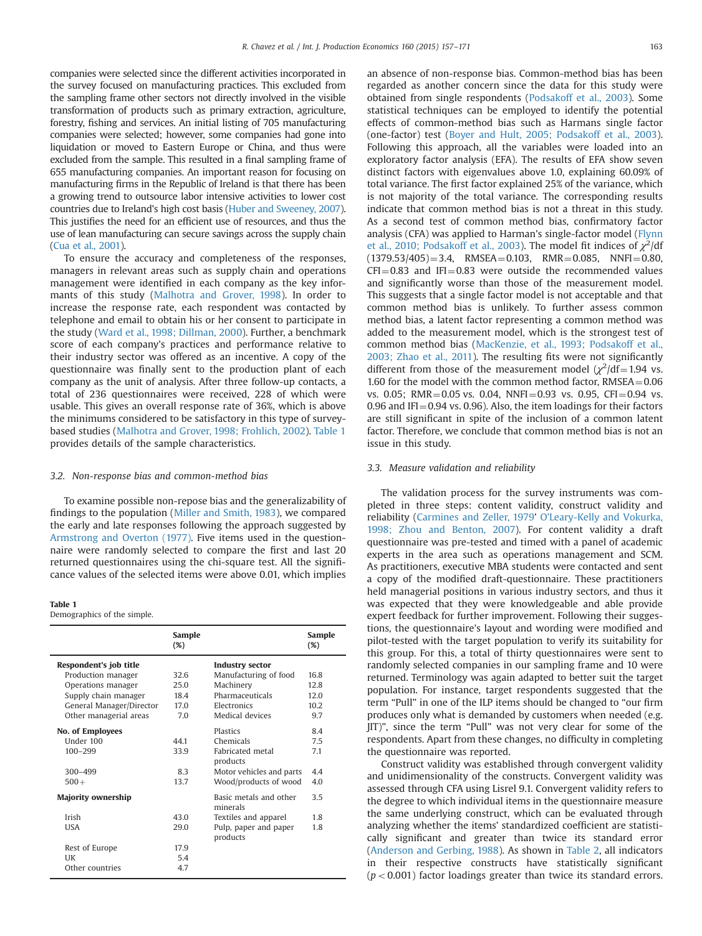companies were selected since the different activities incorporated in the survey focused on manufacturing practices. This excluded from the sampling frame other sectors not directly involved in the visible transformation of products such as primary extraction, agriculture, forestry, fishing and services. An initial listing of 705 manufacturing companies were selected; however, some companies had gone into liquidation or moved to Eastern Europe or China, and thus were excluded from the sample. This resulted in a final sampling frame of 655 manufacturing companies. An important reason for focusing on manufacturing firms in the Republic of Ireland is that there has been a growing trend to outsource labor intensive activities to lower cost countries due to Ireland's high cost basis [\(Huber and Sweeney, 2007\)](#page-12-0). This justifies the need for an efficient use of resources, and thus the use of lean manufacturing can secure savings across the supply chain [\(Cua et al., 2001](#page-12-0)).

To ensure the accuracy and completeness of the responses, managers in relevant areas such as supply chain and operations management were identified in each company as the key informants of this study ([Malhotra and Grover, 1998\)](#page-13-0). In order to increase the response rate, each respondent was contacted by telephone and email to obtain his or her consent to participate in the study [\(Ward et al., 1998; Dillman, 2000](#page-12-0)). Further, a benchmark score of each company's practices and performance relative to their industry sector was offered as an incentive. A copy of the questionnaire was finally sent to the production plant of each company as the unit of analysis. After three follow-up contacts, a total of 236 questionnaires were received, 228 of which were usable. This gives an overall response rate of 36%, which is above the minimums considered to be satisfactory in this type of surveybased studies ([Malhotra and Grover, 1998; Frohlich, 2002](#page-12-0)). Table 1 provides details of the sample characteristics.

## 3.2. Non-response bias and common-method bias

To examine possible non-repose bias and the generalizability of findings to the population ([Miller and Smith, 1983](#page-13-0)), we compared the early and late responses following the approach suggested by [Armstrong and Overton \(1977\)](#page-12-0). Five items used in the questionnaire were randomly selected to compare the first and last 20 returned questionnaires using the chi-square test. All the significance values of the selected items were above 0.01, which implies

#### Table 1

Demographics of the simple.

|                          | <b>Sample</b><br>(%) |                                     | Sample<br>$(\%)$ |
|--------------------------|----------------------|-------------------------------------|------------------|
| Respondent's job title   |                      | <b>Industry sector</b>              |                  |
| Production manager       | 32.6                 | Manufacturing of food               | 16.8             |
| Operations manager       | 25.0                 | Machinery                           | 12.8             |
| Supply chain manager     | 18.4                 | Pharmaceuticals                     | 12.0             |
| General Manager/Director | 17.0                 | Electronics                         | 10.2             |
| Other managerial areas   | 7.0                  | Medical devices                     | 9.7              |
| No. of Employees         |                      | <b>Plastics</b>                     | 8.4              |
| Under 100                | 441                  | Chemicals                           | 7.5              |
| $100 - 299$              | 33.9                 | <b>Fabricated</b> metal<br>products | 7.1              |
| 300-499                  | 8.3                  | Motor vehicles and parts            | 4.4              |
| $500+$                   | 13.7                 | Wood/products of wood               | 4.0              |
| Majority ownership       |                      | Basic metals and other<br>minerals  | 3.5              |
| Irish                    | 43.0                 | Textiles and apparel                | 1.8              |
| <b>USA</b>               | 29.0                 | Pulp, paper and paper<br>products   | 1.8              |
| Rest of Europe           | 17.9                 |                                     |                  |
| UK                       | 5.4                  |                                     |                  |
| Other countries          | 4.7                  |                                     |                  |

an absence of non-response bias. Common-method bias has been regarded as another concern since the data for this study were obtained from single respondents [\(Podsakoff et al., 2003](#page-13-0)). Some statistical techniques can be employed to identify the potential effects of common-method bias such as Harmans single factor (one-factor) test [\(Boyer and Hult, 2005; Podsakoff et al., 2003\)](#page-13-0). Following this approach, all the variables were loaded into an exploratory factor analysis (EFA). The results of EFA show seven distinct factors with eigenvalues above 1.0, explaining 60.09% of total variance. The first factor explained 25% of the variance, which is not majority of the total variance. The corresponding results indicate that common method bias is not a threat in this study. As a second test of common method bias, confirmatory factor analysis (CFA) was applied to Harman's single-factor model ([Flynn](#page-12-0) [et al., 2010; Podsakoff et al., 2003\)](#page-13-0). The model fit indices of  $\chi^2$ /df  $(1379.53/405) = 3.4$ , RMSEA = 0.103, RMR = 0.085, NNFI = 0.80,  $CFI = 0.83$  and  $IFI = 0.83$  were outside the recommended values and significantly worse than those of the measurement model. This suggests that a single factor model is not acceptable and that common method bias is unlikely. To further assess common method bias, a latent factor representing a common method was added to the measurement model, which is the strongest test of common method bias ([MacKenzie, et al., 1993; Podsakoff et al.,](#page-13-0) [2003; Zhao et al., 2011](#page-14-0)). The resulting fits were not significantly different from those of the measurement model  $(\chi^2/df=1.94 \text{ vs.})$ 1.60 for the model with the common method factor,  $RMSEA = 0.06$ vs. 0.05; RMR=0.05 vs. 0.04, NNFI=0.93 vs. 0.95, CFI=0.94 vs. 0.96 and IFI $=$ 0.94 vs. 0.96). Also, the item loadings for their factors are still significant in spite of the inclusion of a common latent factor. Therefore, we conclude that common method bias is not an issue in this study.

## 3.3. Measure validation and reliability

The validation process for the survey instruments was completed in three steps: content validity, construct validity and reliability ([Carmines and Zeller, 1979](#page-12-0)' O'[Leary-Kelly and Vokurka,](#page-13-0) [1998; Zhou and Benton, 2007](#page-14-0)). For content validity a draft questionnaire was pre-tested and timed with a panel of academic experts in the area such as operations management and SCM. As practitioners, executive MBA students were contacted and sent a copy of the modified draft-questionnaire. These practitioners held managerial positions in various industry sectors, and thus it was expected that they were knowledgeable and able provide expert feedback for further improvement. Following their suggestions, the questionnaire's layout and wording were modified and pilot-tested with the target population to verify its suitability for this group. For this, a total of thirty questionnaires were sent to randomly selected companies in our sampling frame and 10 were returned. Terminology was again adapted to better suit the target population. For instance, target respondents suggested that the term "Pull" in one of the ILP items should be changed to "our firm produces only what is demanded by customers when needed (e.g. JIT)", since the term "Pull" was not very clear for some of the respondents. Apart from these changes, no difficulty in completing the questionnaire was reported.

Construct validity was established through convergent validity and unidimensionality of the constructs. Convergent validity was assessed through CFA using Lisrel 9.1. Convergent validity refers to the degree to which individual items in the questionnaire measure the same underlying construct, which can be evaluated through analyzing whether the items' standardized coefficient are statistically significant and greater than twice its standard error ([Anderson and Gerbing, 1988](#page-12-0)). As shown in [Table 2,](#page-7-0) all indicators in their respective constructs have statistically significant  $(p < 0.001)$  factor loadings greater than twice its standard errors.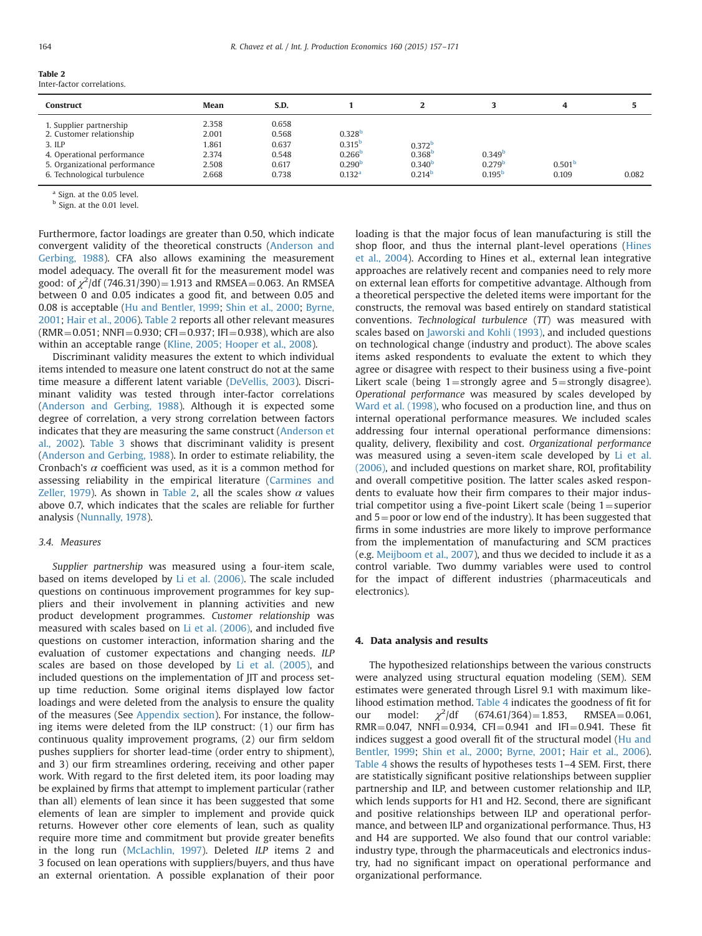| <b>Construct</b>                                                                                                                                            | Mean                                               | S.D.                                               |                                                                                                            |                                                                                      |                                                         |                          |       |
|-------------------------------------------------------------------------------------------------------------------------------------------------------------|----------------------------------------------------|----------------------------------------------------|------------------------------------------------------------------------------------------------------------|--------------------------------------------------------------------------------------|---------------------------------------------------------|--------------------------|-------|
| 1. Supplier partnership<br>2. Customer relationship<br>3. ILP<br>4. Operational performance<br>5. Organizational performance<br>6. Technological turbulence | 2.358<br>2.001<br>1.861<br>2.374<br>2.508<br>2.668 | 0.658<br>0.568<br>0.637<br>0.548<br>0.617<br>0.738 | 0.328 <sup>b</sup><br>0.315 <sup>b</sup><br>0.266 <sup>b</sup><br>0.290 <sup>b</sup><br>0.132 <sup>a</sup> | 0.372 <sup>b</sup><br>0.368 <sup>b</sup><br>0.340 <sup>b</sup><br>0.214 <sup>b</sup> | $0.349^{b}$<br>0.279 <sup>b</sup><br>0.195 <sup>b</sup> | $0.501^{\circ}$<br>0.109 | 0.082 |

<span id="page-7-0"></span>Table 2 Inter-factor correlations.

<sup>a</sup> Sign. at the 0.05 level.

**b** Sign. at the 0.01 level.

Furthermore, factor loadings are greater than 0.50, which indicate convergent validity of the theoretical constructs [\(Anderson and](#page-12-0) [Gerbing, 1988](#page-12-0)). CFA also allows examining the measurement model adequacy. The overall fit for the measurement model was good: of  $\chi^2$ /df (746.31/390) = 1.913 and RMSEA = 0.063. An RMSEA between 0 and 0.05 indicates a good fit, and between 0.05 and 0.08 is acceptable [\(Hu and Bentler, 1999](#page-12-0); [Shin et al.](#page-13-0), 2000; [Byrne,](#page-12-0) [2001;](#page-12-0) [Hair et al., 2006](#page-12-0)). Table 2 reports all other relevant measures  $(RMR = 0.051; NNFI = 0.930; CFI = 0.937; IFI = 0.938)$ , which are also within an acceptable range [\(Kline, 2005; Hooper et al., 2008\)](#page-12-0).

Discriminant validity measures the extent to which individual items intended to measure one latent construct do not at the same time measure a different latent variable ([DeVellis, 2003](#page-12-0)). Discriminant validity was tested through inter-factor correlations ([Anderson and Gerbing, 1988\)](#page-12-0). Although it is expected some degree of correlation, a very strong correlation between factors indicates that they are measuring the same construct ([Anderson et](#page-12-0) [al., 2002](#page-12-0)). [Table 3](#page-8-0) shows that discriminant validity is present ([Anderson and Gerbing, 1988](#page-12-0)). In order to estimate reliability, the Cronbach's  $\alpha$  coefficient was used, as it is a common method for assessing reliability in the empirical literature ([Carmines and](#page-12-0) [Zeller, 1979](#page-12-0)). As shown in Table 2, all the scales show  $\alpha$  values above 0.7, which indicates that the scales are reliable for further analysis [\(Nunnally, 1978\)](#page-13-0).

## 3.4. Measures

Supplier partnership was measured using a four-item scale, based on items developed by [Li et al. \(2006\).](#page-13-0) The scale included questions on continuous improvement programmes for key suppliers and their involvement in planning activities and new product development programmes. Customer relationship was measured with scales based on [Li et al. \(2006\)](#page-13-0), and included five questions on customer interaction, information sharing and the evaluation of customer expectations and changing needs. ILP scales are based on those developed by [Li et al. \(2005\),](#page-13-0) and included questions on the implementation of JIT and process setup time reduction. Some original items displayed low factor loadings and were deleted from the analysis to ensure the quality of the measures (See [Appendix section](#page-11-0)). For instance, the following items were deleted from the ILP construct: (1) our firm has continuous quality improvement programs, (2) our firm seldom pushes suppliers for shorter lead-time (order entry to shipment), and 3) our firm streamlines ordering, receiving and other paper work. With regard to the first deleted item, its poor loading may be explained by firms that attempt to implement particular (rather than all) elements of lean since it has been suggested that some elements of lean are simpler to implement and provide quick returns. However other core elements of lean, such as quality require more time and commitment but provide greater benefits in the long run ([McLachlin, 1997](#page-13-0)). Deleted ILP items 2 and 3 focused on lean operations with suppliers/buyers, and thus have an external orientation. A possible explanation of their poor

loading is that the major focus of lean manufacturing is still the shop floor, and thus the internal plant-level operations [\(Hines](#page-12-0) [et al., 2004](#page-12-0)). According to Hines et al., external lean integrative approaches are relatively recent and companies need to rely more on external lean efforts for competitive advantage. Although from a theoretical perspective the deleted items were important for the constructs, the removal was based entirely on standard statistical conventions. Technological turbulence (TT) was measured with scales based on [Jaworski and Kohli \(1993\)](#page-13-0), and included questions on technological change (industry and product). The above scales items asked respondents to evaluate the extent to which they agree or disagree with respect to their business using a five-point Likert scale (being  $1 =$ strongly agree and  $5 =$ strongly disagree). Operational performance was measured by scales developed by [Ward et al. \(1998\)](#page-14-0), who focused on a production line, and thus on internal operational performance measures. We included scales addressing four internal operational performance dimensions: quality, delivery, flexibility and cost. Organizational performance was measured using a seven-item scale developed by [Li et al.](#page-13-0) [\(2006\)](#page-13-0), and included questions on market share, ROI, profitability and overall competitive position. The latter scales asked respondents to evaluate how their firm compares to their major industrial competitor using a five-point Likert scale (being  $1 =$  superior and  $5 =$  poor or low end of the industry). It has been suggested that firms in some industries are more likely to improve performance from the implementation of manufacturing and SCM practices (e.g. [Meijboom et al., 2007](#page-13-0)), and thus we decided to include it as a control variable. Two dummy variables were used to control for the impact of different industries (pharmaceuticals and electronics).

## 4. Data analysis and results

The hypothesized relationships between the various constructs were analyzed using structural equation modeling (SEM). SEM estimates were generated through Lisrel 9.1 with maximum likelihood estimation method. [Table 4](#page-8-0) indicates the goodness of fit for our model:  $\chi^2$ /df (674.61/364) = 1.853, RMSEA = 0.061,  $RMR = 0.047$ ,  $NNFI = 0.934$ ,  $CFI = 0.941$  and  $IFI = 0.941$ . These fit indices suggest a good overall fit of the structural model ([Hu and](#page-12-0) [Bentler, 1999](#page-12-0); [Shin et al.](#page-13-0), 2000; [Byrne, 2001](#page-12-0); [Hair et al., 2006\)](#page-12-0). [Table 4](#page-8-0) shows the results of hypotheses tests 1–4 SEM. First, there are statistically significant positive relationships between supplier partnership and ILP, and between customer relationship and ILP, which lends supports for H1 and H2. Second, there are significant and positive relationships between ILP and operational performance, and between ILP and organizational performance. Thus, H3 and H4 are supported. We also found that our control variable: industry type, through the pharmaceuticals and electronics industry, had no significant impact on operational performance and organizational performance.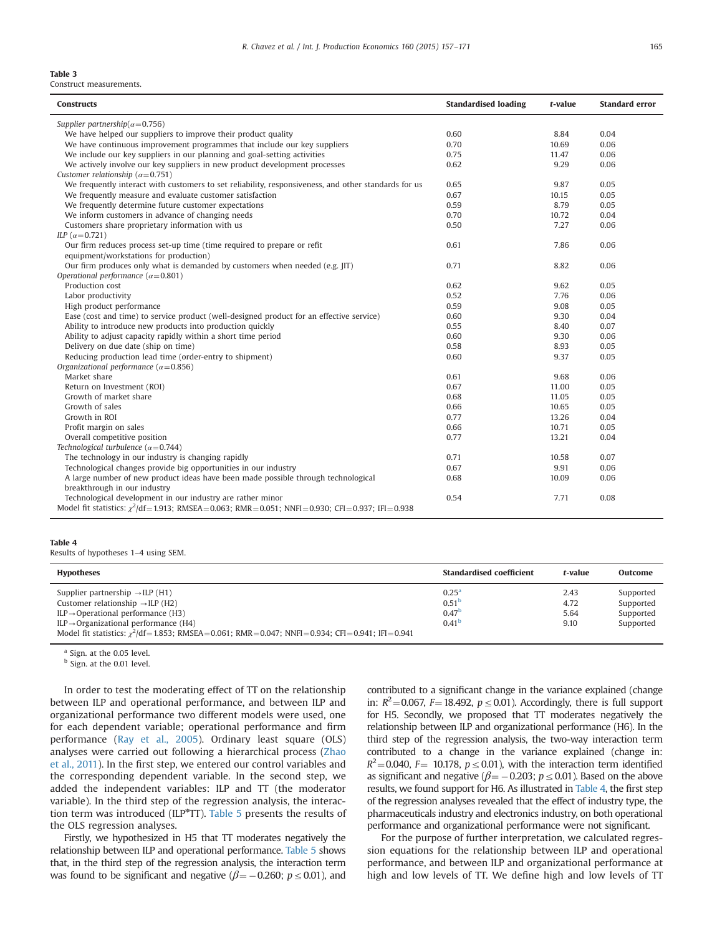## <span id="page-8-0"></span>Table 3

Construct measurements.

| <b>Constructs</b>                                                                                    | <b>Standardised loading</b> | t-value | <b>Standard error</b> |
|------------------------------------------------------------------------------------------------------|-----------------------------|---------|-----------------------|
| Supplier partnership( $\alpha$ =0.756)                                                               |                             |         |                       |
| We have helped our suppliers to improve their product quality                                        | 0.60                        | 8.84    | 0.04                  |
| We have continuous improvement programmes that include our key suppliers                             | 0.70                        | 10.69   | 0.06                  |
| We include our key suppliers in our planning and goal-setting activities                             | 0.75                        | 11.47   | 0.06                  |
| We actively involve our key suppliers in new product development processes                           | 0.62                        | 9.29    | 0.06                  |
| Customer relationship ( $\alpha$ =0.751)                                                             |                             |         |                       |
| We frequently interact with customers to set reliability, responsiveness, and other standards for us | 0.65                        | 9.87    | 0.05                  |
| We frequently measure and evaluate customer satisfaction                                             | 0.67                        | 10.15   | 0.05                  |
| We frequently determine future customer expectations                                                 | 0.59                        | 8.79    | 0.05                  |
| We inform customers in advance of changing needs                                                     | 0.70                        | 10.72   | 0.04                  |
| Customers share proprietary information with us                                                      | 0.50                        | 7.27    | 0.06                  |
| ILP $(\alpha = 0.721)$                                                                               |                             |         |                       |
| Our firm reduces process set-up time (time required to prepare or refit                              | 0.61                        | 7.86    | 0.06                  |
| equipment/workstations for production)                                                               |                             |         |                       |
| Our firm produces only what is demanded by customers when needed (e.g. JIT)                          | 0.71                        | 8.82    | 0.06                  |
| Operational performance ( $\alpha$ =0.801)                                                           |                             |         |                       |
| Production cost                                                                                      | 0.62                        | 9.62    | 0.05                  |
| Labor productivity                                                                                   | 0.52                        | 7.76    | 0.06                  |
| High product performance                                                                             | 0.59                        | 9.08    | 0.05                  |
| Ease (cost and time) to service product (well-designed product for an effective service)             | 0.60                        | 9.30    | 0.04                  |
| Ability to introduce new products into production quickly                                            | 0.55                        | 8.40    | 0.07                  |
| Ability to adjust capacity rapidly within a short time period                                        | 0.60                        | 9.30    | 0.06                  |
| Delivery on due date (ship on time)                                                                  | 0.58                        | 8.93    | 0.05                  |
| Reducing production lead time (order-entry to shipment)                                              | 0.60                        | 9.37    | 0.05                  |
| Organizational performance ( $\alpha$ =0.856)                                                        |                             |         |                       |
| Market share                                                                                         | 0.61                        | 9.68    | 0.06                  |
| Return on Investment (ROI)                                                                           | 0.67                        | 11.00   | 0.05                  |
| Growth of market share                                                                               | 0.68                        | 11.05   | 0.05                  |
| Growth of sales                                                                                      | 0.66                        | 10.65   | 0.05                  |
| Growth in ROI                                                                                        | 0.77                        | 13.26   | 0.04                  |
| Profit margin on sales                                                                               | 0.66                        | 10.71   | 0.05                  |
| Overall competitive position                                                                         | 0.77                        | 13.21   | 0.04                  |
| Technological turbulence ( $\alpha$ =0.744)                                                          |                             |         |                       |
| The technology in our industry is changing rapidly                                                   | 0.71                        | 10.58   | 0.07                  |
| Technological changes provide big opportunities in our industry                                      | 0.67                        | 9.91    | 0.06                  |
| A large number of new product ideas have been made possible through technological                    | 0.68                        | 10.09   | 0.06                  |
| breakthrough in our industry                                                                         |                             |         |                       |
| Technological development in our industry are rather minor                                           | 0.54                        | 7.71    | 0.08                  |
| Model fit statistics: $\chi^2$ /df=1.913; RMSEA=0.063; RMR=0.051; NNFI=0.930; CFI=0.937; IFI=0.938   |                             |         |                       |

Table 4

Results of hypotheses 1–4 using SEM.

| <b>Hypotheses</b>                                                                                                                                                                                                                                                                                                 | <b>Standardised coefficient</b>                                                  | t-value                      | <b>Outcome</b>                                   |
|-------------------------------------------------------------------------------------------------------------------------------------------------------------------------------------------------------------------------------------------------------------------------------------------------------------------|----------------------------------------------------------------------------------|------------------------------|--------------------------------------------------|
| Supplier partnership $\rightarrow$ ILP (H1)<br>Customer relationship $\rightarrow$ ILP (H2)<br>$ILP \rightarrow Operational performance (H3)$<br>$ILP \rightarrow Organizational performance (H4)$<br>Model fit statistics: $r^2/df = 1.853$ ; RMSEA = 0.061; RMR = 0.047; NNFI = 0.934; CFI = 0.941; IFI = 0.941 | 0.25 <sup>a</sup><br>0.51 <sup>b</sup><br>0.47 <sup>b</sup><br>0.41 <sup>b</sup> | 2.43<br>4.72<br>5.64<br>9.10 | Supported<br>Supported<br>Supported<br>Supported |

<sup>a</sup> Sign. at the 0.05 level.

<sup>b</sup> Sign. at the 0.01 level.

In order to test the moderating effect of TT on the relationship between ILP and operational performance, and between ILP and organizational performance two different models were used, one for each dependent variable; operational performance and firm performance ([Ray et al., 2005](#page-13-0)). Ordinary least square (OLS) analyses were carried out following a hierarchical process [\(Zhao](#page-14-0) [et al., 2011](#page-14-0)). In the first step, we entered our control variables and the corresponding dependent variable. In the second step, we added the independent variables: ILP and TT (the moderator variable). In the third step of the regression analysis, the interac-tion term was introduced (ILP\*TT). [Table 5](#page-9-0) presents the results of the OLS regression analyses.

Firstly, we hypothesized in H5 that TT moderates negatively the relationship between ILP and operational performance. [Table 5](#page-9-0) shows that, in the third step of the regression analysis, the interaction term was found to be significant and negative ( $\beta$  = -0.260;  $p \leq 0.01$ ), and

contributed to a significant change in the variance explained (change in:  $R^2 = 0.067$ ,  $F = 18.492$ ,  $p \le 0.01$ ). Accordingly, there is full support for H5. Secondly, we proposed that TT moderates negatively the relationship between ILP and organizational performance (H6). In the third step of the regression analysis, the two-way interaction term contributed to a change in the variance explained (change in:  $R^2$  = 0.040,  $F$  = 10.178,  $p \le 0.01$ ), with the interaction term identified as significant and negative ( $\beta$  = -0.203;  $p \leq 0.01$ ). Based on the above results, we found support for H6. As illustrated in Table 4, the first step of the regression analyses revealed that the effect of industry type, the pharmaceuticals industry and electronics industry, on both operational performance and organizational performance were not significant.

For the purpose of further interpretation, we calculated regression equations for the relationship between ILP and operational performance, and between ILP and organizational performance at high and low levels of TT. We define high and low levels of TT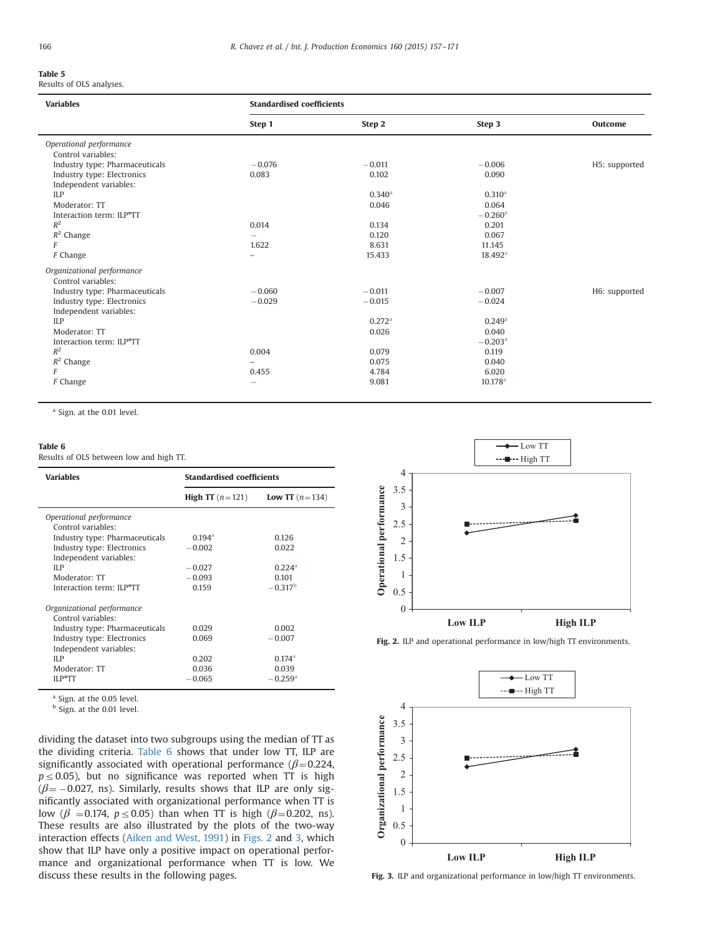## <span id="page-9-0"></span>Table 5

Results of OLS analyses.

| <b>Variables</b>               | <b>Standardised coefficients</b> |                    |                       |               |
|--------------------------------|----------------------------------|--------------------|-----------------------|---------------|
|                                | Step 1                           | Step 2             | Step 3                | Outcome       |
| Operational performance        |                                  |                    |                       |               |
| Control variables:             |                                  |                    |                       |               |
| Industry type: Pharmaceuticals | $-0.076$                         | $-0.011$           | $-0.006$              | H5: supported |
| Industry type: Electronics     | 0.083                            | 0.102              | 0.090                 |               |
| Independent variables:         |                                  |                    |                       |               |
| ILP                            |                                  | 0.340a             | 0.310 <sup>a</sup>    |               |
| Moderator: TT                  |                                  | 0.046              | 0.064                 |               |
| Interaction term: ILP*TT       |                                  |                    | $-0.260$ <sup>a</sup> |               |
| $R^2$                          | 0.014                            | 0.134              | 0.201                 |               |
| $R^2$ Change                   | $\overline{\phantom{0}}$         | 0.120              | 0.067                 |               |
| F                              | 1.622                            | 8.631              | 11.145                |               |
| F Change                       | $\overline{\phantom{0}}$         | 15.433             | 18.492 <sup>a</sup>   |               |
| Organizational performance     |                                  |                    |                       |               |
| Control variables:             |                                  |                    |                       |               |
| Industry type: Pharmaceuticals | $-0.060$                         | $-0.011$           | $-0.007$              | H6: supported |
| Industry type: Electronics     | $-0.029$                         | $-0.015$           | $-0.024$              |               |
| Independent variables:         |                                  |                    |                       |               |
| ILP                            |                                  | 0.272 <sup>a</sup> | 0.249 <sup>a</sup>    |               |
| Moderator: TT                  |                                  | 0.026              | 0.040                 |               |
| Interaction term: ILP*TT       |                                  |                    | $-0.203$ <sup>a</sup> |               |
| $R^2$                          | 0.004                            | 0.079              | 0.119                 |               |
| $R^2$ Change                   | $\overline{\phantom{0}}$         | 0.075              | 0.040                 |               |
| F                              | 0.455                            | 4.784              | 6.020                 |               |
| F Change                       | $\qquad \qquad$                  | 9.081              | 10.178 <sup>a</sup>   |               |
|                                |                                  |                    |                       |               |

<sup>a</sup> Sign. at the 0.01 level.

## Table 6

Results of OLS between low and high TT.

| <b>Variables</b>               | <b>Standardised coefficients</b> |                           |  |
|--------------------------------|----------------------------------|---------------------------|--|
|                                | <b>High TT</b> $(n=121)$         | <b>Low TT</b> $(n = 134)$ |  |
| Operational performance        |                                  |                           |  |
| Control variables:             |                                  |                           |  |
| Industry type: Pharmaceuticals | 0.194 <sup>a</sup>               | 0.126                     |  |
| Industry type: Electronics     | $-0.002$                         | 0.022                     |  |
| Independent variables:         |                                  |                           |  |
| ILP                            | $-0.027$                         | $0.224$ <sup>a</sup>      |  |
| Moderator: TT                  | $-0.093$                         | 0.101                     |  |
| Interaction term: ILP*TT       | 0.159                            | $-0.317^{\rm b}$          |  |
| Organizational performance     |                                  |                           |  |
| Control variables:             |                                  |                           |  |
| Industry type: Pharmaceuticals | 0.029                            | 0.002                     |  |
| Industry type: Electronics     | 0.069                            | $-0.007$                  |  |
| Independent variables:         |                                  |                           |  |
| ILP                            | 0.202                            | 0.174 <sup>a</sup>        |  |
| Moderator: TT                  | 0.036                            | 0.039                     |  |
| $ILP*TT$                       | $-0.065$                         | $-0.259$ <sup>a</sup>     |  |

<sup>&</sup>lt;sup>a</sup> Sign. at the 0.05 level.

<sup>b</sup> Sign. at the 0.01 level.

dividing the dataset into two subgroups using the median of TT as the dividing criteria. Table 6 shows that under low TT, ILP are significantly associated with operational performance ( $\beta$ =0.224,  $p \leq 0.05$ ), but no significance was reported when TT is high  $(\beta = -0.027, \text{ ns})$ . Similarly, results shows that ILP are only significantly associated with organizational performance when TT is low ( $\beta$  =0.174,  $p \le 0.05$ ) than when TT is high ( $\beta$ =0.202, ns). These results are also illustrated by the plots of the two-way interaction effects [\(Aiken and West, 1991](#page-12-0)) in Figs. 2 and 3, which show that ILP have only a positive impact on operational performance and organizational performance when TT is low. We discuss these results in the following pages.



Fig. 2. ILP and operational performance in low/high TT environments.



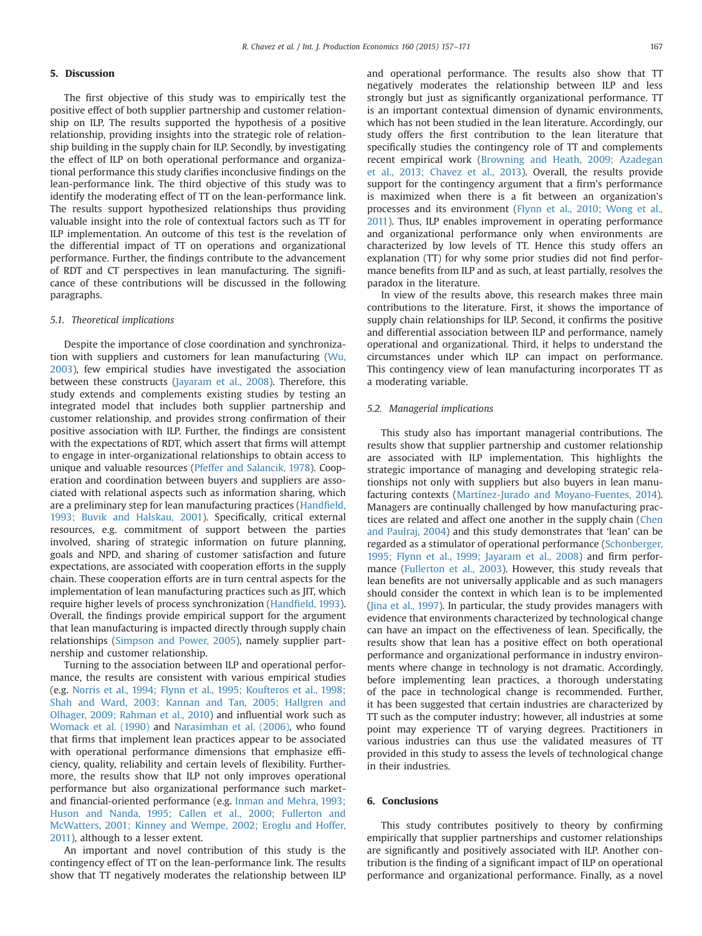## 5. Discussion

The first objective of this study was to empirically test the positive effect of both supplier partnership and customer relationship on ILP. The results supported the hypothesis of a positive relationship, providing insights into the strategic role of relationship building in the supply chain for ILP. Secondly, by investigating the effect of ILP on both operational performance and organizational performance this study clarifies inconclusive findings on the lean-performance link. The third objective of this study was to identify the moderating effect of TT on the lean-performance link. The results support hypothesized relationships thus providing valuable insight into the role of contextual factors such as TT for ILP implementation. An outcome of this test is the revelation of the differential impact of TT on operations and organizational performance. Further, the findings contribute to the advancement of RDT and CT perspectives in lean manufacturing. The significance of these contributions will be discussed in the following paragraphs.

## 5.1. Theoretical implications

Despite the importance of close coordination and synchronization with suppliers and customers for lean manufacturing [\(Wu,](#page-14-0) [2003\)](#page-14-0), few empirical studies have investigated the association between these constructs [\(Jayaram et al., 2008](#page-13-0)). Therefore, this study extends and complements existing studies by testing an integrated model that includes both supplier partnership and customer relationship, and provides strong confirmation of their positive association with ILP. Further, the findings are consistent with the expectations of RDT, which assert that firms will attempt to engage in inter-organizational relationships to obtain access to unique and valuable resources [\(Pfeffer and Salancik, 1978](#page-13-0)). Cooperation and coordination between buyers and suppliers are associated with relational aspects such as information sharing, which are a preliminary step for lean manufacturing practices ([Hand](#page-12-0)field, [1993; Buvik and Halskau, 2001\)](#page-12-0). Specifically, critical external resources, e.g. commitment of support between the parties involved, sharing of strategic information on future planning, goals and NPD, and sharing of customer satisfaction and future expectations, are associated with cooperation efforts in the supply chain. These cooperation efforts are in turn central aspects for the implementation of lean manufacturing practices such as JIT, which require higher levels of process synchronization (Handfi[eld, 1993\)](#page-12-0). Overall, the findings provide empirical support for the argument that lean manufacturing is impacted directly through supply chain relationships [\(Simpson and Power, 2005](#page-13-0)), namely supplier partnership and customer relationship.

Turning to the association between ILP and operational performance, the results are consistent with various empirical studies (e.g. [Norris et al., 1994; Flynn et al., 1995; Koufteros et al., 1998;](#page-13-0) [Shah and Ward, 2003; Kannan and Tan, 2005; Hallgren and](#page-12-0) [Olhager, 2009; Rahman et al., 2010\)](#page-13-0) and influential work such as [Womack et al. \(1990\)](#page-14-0) and [Narasimhan et al. \(2006\),](#page-13-0) who found that firms that implement lean practices appear to be associated with operational performance dimensions that emphasize efficiency, quality, reliability and certain levels of flexibility. Furthermore, the results show that ILP not only improves operational performance but also organizational performance such marketand financial-oriented performance (e.g. [Inman and Mehra, 1993;](#page-13-0) [Huson and Nanda, 1995; Callen et al., 2000; Fullerton and](#page-12-0) [McWatters, 2001; Kinney and Wempe, 2002; Eroglu and Hoffer,](#page-12-0) [2011](#page-12-0)), although to a lesser extent.

An important and novel contribution of this study is the contingency effect of TT on the lean-performance link. The results show that TT negatively moderates the relationship between ILP and operational performance. The results also show that TT negatively moderates the relationship between ILP and less strongly but just as significantly organizational performance. TT is an important contextual dimension of dynamic environments, which has not been studied in the lean literature. Accordingly, our study offers the first contribution to the lean literature that specifically studies the contingency role of TT and complements recent empirical work [\(Browning and Heath, 2009; Azadegan](#page-12-0) [et al., 2013; Chavez et al., 2013\)](#page-12-0). Overall, the results provide support for the contingency argument that a firm's performance is maximized when there is a fit between an organization's processes and its environment ([Flynn et al., 2010; Wong et al.,](#page-14-0) [2011](#page-14-0)). Thus, ILP enables improvement in operating performance and organizational performance only when environments are characterized by low levels of TT. Hence this study offers an explanation (TT) for why some prior studies did not find performance benefits from ILP and as such, at least partially, resolves the paradox in the literature.

In view of the results above, this research makes three main contributions to the literature. First, it shows the importance of supply chain relationships for ILP. Second, it confirms the positive and differential association between ILP and performance, namely operational and organizational. Third, it helps to understand the circumstances under which ILP can impact on performance. This contingency view of lean manufacturing incorporates TT as a moderating variable.

## 5.2. Managerial implications

This study also has important managerial contributions. The results show that supplier partnership and customer relationship are associated with ILP implementation. This highlights the strategic importance of managing and developing strategic relationships not only with suppliers but also buyers in lean manufacturing contexts ([Martínez-Jurado and Moyano-Fuentes, 2014\)](#page-13-0). Managers are continually challenged by how manufacturing practices are related and affect one another in the supply chain [\(Chen](#page-12-0) [and Paulraj, 2004\)](#page-12-0) and this study demonstrates that 'lean' can be regarded as a stimulator of operational performance ([Schonberger,](#page-13-0) [1995; Flynn et al., 1999; Jayaram et al., 2008](#page-13-0)) and firm performance [\(Fullerton et al., 2003\)](#page-12-0). However, this study reveals that lean benefits are not universally applicable and as such managers should consider the context in which lean is to be implemented ([Jina et al., 1997](#page-13-0)). In particular, the study provides managers with evidence that environments characterized by technological change can have an impact on the effectiveness of lean. Specifically, the results show that lean has a positive effect on both operational performance and organizational performance in industry environments where change in technology is not dramatic. Accordingly, before implementing lean practices, a thorough understating of the pace in technological change is recommended. Further, it has been suggested that certain industries are characterized by TT such as the computer industry; however, all industries at some point may experience TT of varying degrees. Practitioners in various industries can thus use the validated measures of TT provided in this study to assess the levels of technological change in their industries.

## 6. Conclusions

This study contributes positively to theory by confirming empirically that supplier partnerships and customer relationships are significantly and positively associated with ILP. Another contribution is the finding of a significant impact of ILP on operational performance and organizational performance. Finally, as a novel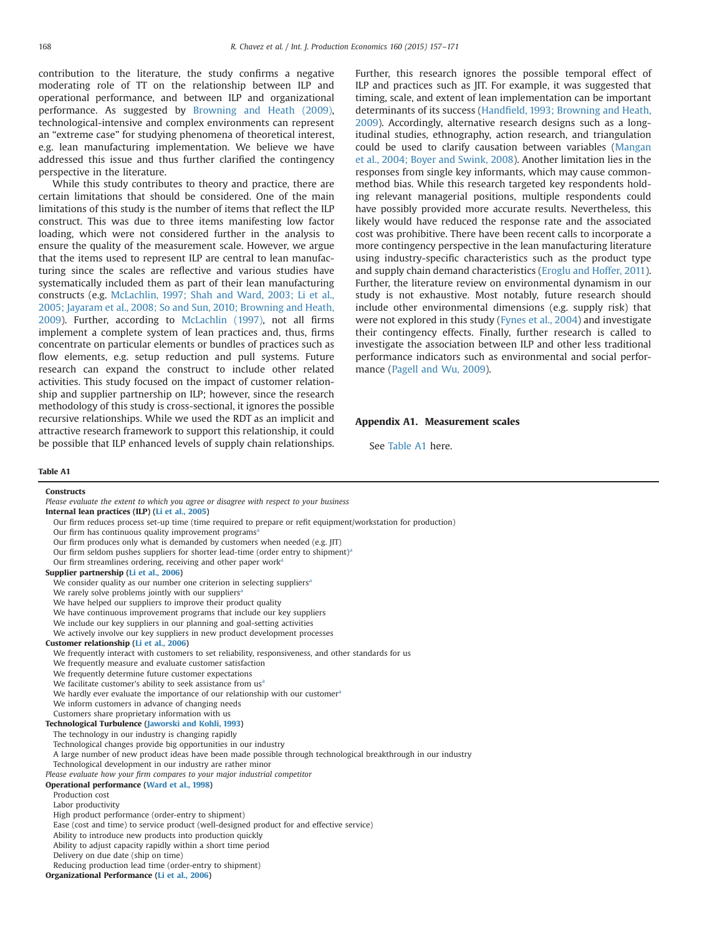<span id="page-11-0"></span>contribution to the literature, the study confirms a negative moderating role of TT on the relationship between ILP and operational performance, and between ILP and organizational performance. As suggested by [Browning and Heath \(2009\),](#page-12-0) technological-intensive and complex environments can represent an "extreme case" for studying phenomena of theoretical interest, e.g. lean manufacturing implementation. We believe we have addressed this issue and thus further clarified the contingency perspective in the literature.

While this study contributes to theory and practice, there are certain limitations that should be considered. One of the main limitations of this study is the number of items that reflect the ILP construct. This was due to three items manifesting low factor loading, which were not considered further in the analysis to ensure the quality of the measurement scale. However, we argue that the items used to represent ILP are central to lean manufacturing since the scales are reflective and various studies have systematically included them as part of their lean manufacturing constructs (e.g. [McLachlin, 1997; Shah and Ward, 2003; Li et al.,](#page-13-0) [2005; Jayaram et al., 2008; So and Sun, 2010; Browning and Heath,](#page-12-0) [2009\)](#page-12-0). Further, according to [McLachlin \(1997\),](#page-13-0) not all firms implement a complete system of lean practices and, thus, firms concentrate on particular elements or bundles of practices such as flow elements, e.g. setup reduction and pull systems. Future research can expand the construct to include other related activities. This study focused on the impact of customer relationship and supplier partnership on ILP; however, since the research methodology of this study is cross-sectional, it ignores the possible recursive relationships. While we used the RDT as an implicit and attractive research framework to support this relationship, it could be possible that ILP enhanced levels of supply chain relationships. Further, this research ignores the possible temporal effect of ILP and practices such as JIT. For example, it was suggested that timing, scale, and extent of lean implementation can be important determinants of its success (Handfi[eld, 1993; Browning and Heath,](#page-12-0) [2009\)](#page-12-0). Accordingly, alternative research designs such as a longitudinal studies, ethnography, action research, and triangulation could be used to clarify causation between variables [\(Mangan](#page-13-0) [et al., 2004; Boyer and Swink, 2008\)](#page-12-0). Another limitation lies in the responses from single key informants, which may cause commonmethod bias. While this research targeted key respondents holding relevant managerial positions, multiple respondents could have possibly provided more accurate results. Nevertheless, this likely would have reduced the response rate and the associated cost was prohibitive. There have been recent calls to incorporate a more contingency perspective in the lean manufacturing literature using industry-specific characteristics such as the product type and supply chain demand characteristics ([Eroglu and Hoffer, 2011\)](#page-12-0). Further, the literature review on environmental dynamism in our study is not exhaustive. Most notably, future research should include other environmental dimensions (e.g. supply risk) that were not explored in this study ([Fynes et al., 2004](#page-12-0)) and investigate their contingency effects. Finally, further research is called to investigate the association between ILP and other less traditional performance indicators such as environmental and social performance ([Pagell and Wu, 2009\)](#page-13-0).

## Appendix A1. Measurement scales

See Table A1 here.

## Table A1

#### **Constructs**

Please evaluate the extent to which you agree or disagree with respect to your business

Internal lean practices (ILP) [\(Li et al., 2005](#page-13-0))

- Our firm reduces process set-up time (time required to prepare or refit equipment/workstation for production)
- Our firm h[a](#page-12-0)s continuous quality improvement programs<sup>a</sup>
- Our firm produces only what is demanded by customers when needed (e.g. JIT)
- Our firm seldom pushes suppliers for shorter le[a](#page-12-0)d-time (order entry to shipment) $a$
- Our firm streamlines ordering, receiving and other paper work $\epsilon$

#### Supplier partnership ([Li et al., 2006\)](#page-13-0)

- We consider qu[a](#page-12-0)lity as our number one criterion in selecting suppliers<sup>a</sup>
- We r[a](#page-12-0)rely solve problems jointly with our suppliers<sup>s</sup>
- We have helped our suppliers to improve their product quality
- We have continuous improvement programs that include our key suppliers
- We include our key suppliers in our planning and goal-setting activities
- We actively involve our key suppliers in new product development processes

## Customer relationship ([Li et al., 2006\)](#page-13-0)

- We frequently interact with customers to set reliability, responsiveness, and other standards for us
- We frequently measure and evaluate customer satisfaction
- We frequently determine future customer expectations
- We facilitate customer's ability to seek assistance from  $us<sup>a</sup>$
- We h[a](#page-12-0)rdly ever evaluate the importance of our relationship with our customer<sup>a</sup>
- We inform customers in advance of changing needs
- Customers share proprietary information with us

## Technological Turbulence [\(Jaworski and Kohli, 1993](#page-13-0))

The technology in our industry is changing rapidly

Technological changes provide big opportunities in our industry

- A large number of new product ideas have been made possible through technological breakthrough in our industry Technological development in our industry are rather minor
- Please evaluate how your firm compares to your major industrial competitor

#### Operational performance [\(Ward et al., 1998\)](#page-14-0)

Production cost

- Labor productivity
- High product performance (order-entry to shipment)
- Ease (cost and time) to service product (well-designed product for and effective service)
- Ability to introduce new products into production quickly
- Ability to adjust capacity rapidly within a short time period
- Delivery on due date (ship on time)
- Reducing production lead time (order-entry to shipment)

Organizational Performance ([Li et al., 2006\)](#page-13-0)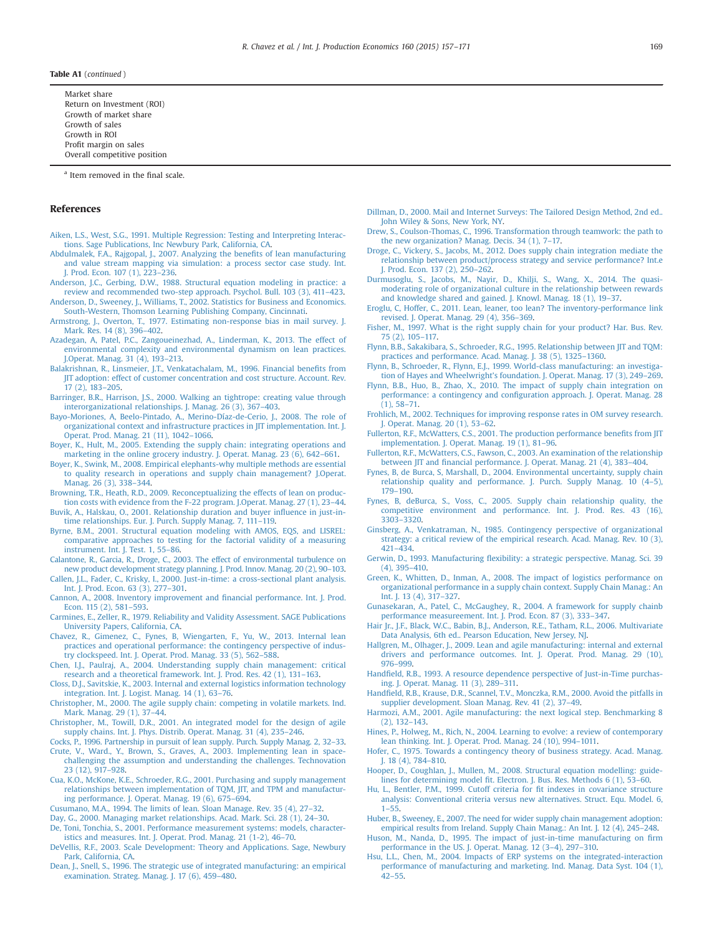#### <span id="page-12-0"></span>Table A1 (continued )

Market share Return on Investment (ROI) Growth of market share Growth of sales Growth in ROI Profit margin on sales Overall competitive position

<sup>a</sup> Item removed in the final scale.

## References

- [Aiken, L.S., West, S.G., 1991. Multiple Regression: Testing and Interpreting Interac](http://refhub.elsevier.com/S0925-5273(14)00319-3/sbref1)[tions. Sage Publications, Inc Newbury Park, California, CA.](http://refhub.elsevier.com/S0925-5273(14)00319-3/sbref1)
- [Abdulmalek, F.A., Rajgopal, J., 2007. Analyzing the bene](http://refhub.elsevier.com/S0925-5273(14)00319-3/sbref2)fits of lean manufacturing [and value stream mapping via simulation: a process sector case study. Int.](http://refhub.elsevier.com/S0925-5273(14)00319-3/sbref2) [J. Prod. Econ. 107 \(1\), 223](http://refhub.elsevier.com/S0925-5273(14)00319-3/sbref2)–236.
- [Anderson, J.C., Gerbing, D.W., 1988. Structural equation modeling in practice: a](http://refhub.elsevier.com/S0925-5273(14)00319-3/sbref3) [review and recommended two-step approach. Psychol. Bull. 103 \(3\), 411](http://refhub.elsevier.com/S0925-5273(14)00319-3/sbref3)–423.

[Anderson, D., Sweeney, J., Williams, T., 2002. Statistics for Business and Economics.](http://refhub.elsevier.com/S0925-5273(14)00319-3/sbref42587) [South-Western, Thomson Learning Publishing Company, Cincinnati.](http://refhub.elsevier.com/S0925-5273(14)00319-3/sbref42587)

- [Armstrong, J., Overton, T., 1977. Estimating non-response bias in mail survey. J.](http://refhub.elsevier.com/S0925-5273(14)00319-3/sbref4) [Mark. Res. 14 \(8\), 396](http://refhub.elsevier.com/S0925-5273(14)00319-3/sbref4)–402.
- [Azadegan, A, Patel, P.C., Zangoueinezhad, A., Linderman, K., 2013. The effect of](http://refhub.elsevier.com/S0925-5273(14)00319-3/sbref5) [environmental complexity and environmental dynamism on lean practices.](http://refhub.elsevier.com/S0925-5273(14)00319-3/sbref5) [J.Operat. Manag. 31 \(4\), 193](http://refhub.elsevier.com/S0925-5273(14)00319-3/sbref5)–213.
- [Balakrishnan, R., Linsmeier, J.T., Venkatachalam, M., 1996. Financial bene](http://refhub.elsevier.com/S0925-5273(14)00319-3/sbref6)fits from [JIT adoption: effect of customer concentration and cost structure. Account. Rev.](http://refhub.elsevier.com/S0925-5273(14)00319-3/sbref6) [17 \(2\), 183](http://refhub.elsevier.com/S0925-5273(14)00319-3/sbref6)–205.
- [Barringer, B.R., Harrison, J.S., 2000. Walking an tightrope: creating value through](http://refhub.elsevier.com/S0925-5273(14)00319-3/sbref7) [interorganizational relationships. J. Manag. 26 \(3\), 367](http://refhub.elsevier.com/S0925-5273(14)00319-3/sbref7)–403.
- [Bayo-Moriones, A, Beelo-Pintado, A., Merino-Díaz-de-Cerio, J., 2008. The role of](http://refhub.elsevier.com/S0925-5273(14)00319-3/sbref8) [organizational context and infrastructure practices in JIT implementation. Int. J.](http://refhub.elsevier.com/S0925-5273(14)00319-3/sbref8) [Operat. Prod. Manag. 21 \(11\), 1042](http://refhub.elsevier.com/S0925-5273(14)00319-3/sbref8)–1066.
- [Boyer, K., Hult, M., 2005. Extending the supply chain: integrating operations and](http://refhub.elsevier.com/S0925-5273(14)00319-3/sbref9) [marketing in the online grocery industry. J. Operat. Manag. 23 \(6\), 642](http://refhub.elsevier.com/S0925-5273(14)00319-3/sbref9)–661.
- [Boyer, K., Swink, M., 2008. Empirical elephants-why multiple methods are essential](http://refhub.elsevier.com/S0925-5273(14)00319-3/sbref10) [to quality research in operations and supply chain management? J.Operat.](http://refhub.elsevier.com/S0925-5273(14)00319-3/sbref10) [Manag. 26 \(3\), 338](http://refhub.elsevier.com/S0925-5273(14)00319-3/sbref10)–344.
- [Browning, T.R., Heath, R.D., 2009. Reconceptualizing the effects of lean on produc](http://refhub.elsevier.com/S0925-5273(14)00319-3/sbref11)[tion costs with evidence from the F-22 program. J.Operat. Manag. 27 \(1\), 23](http://refhub.elsevier.com/S0925-5273(14)00319-3/sbref11)–44.
- [Buvik, A., Halskau, O., 2001. Relationship duration and buyer in](http://refhub.elsevier.com/S0925-5273(14)00319-3/sbref12)fluence in just-in[time relationships. Eur. J. Purch. Supply Manag. 7, 111](http://refhub.elsevier.com/S0925-5273(14)00319-3/sbref12)–119.
- [Byrne, B.M., 2001. Structural equation modeling with AMOS, EQS, and LISREL:](http://refhub.elsevier.com/S0925-5273(14)00319-3/sbref42507) [comparative approaches to testing for the factorial validity of a measuring](http://refhub.elsevier.com/S0925-5273(14)00319-3/sbref42507) [instrument. Int. J. Test. 1, 55](http://refhub.elsevier.com/S0925-5273(14)00319-3/sbref42507)–86.
- [Calantone, R., Garcia, R., Droge, C., 2003. The effect of environmental turbulence on](http://refhub.elsevier.com/S0925-5273(14)00319-3/sbref13) [new product development strategy planning. J. Prod. Innov. Manag. 20 \(2\), 90](http://refhub.elsevier.com/S0925-5273(14)00319-3/sbref13)–103.
- [Callen, J.L., Fader, C., Krisky, I., 2000. Just-in-time: a cross-sectional plant analysis.](http://refhub.elsevier.com/S0925-5273(14)00319-3/sbref14) [Int. J. Prod. Econ. 63 \(3\), 277](http://refhub.elsevier.com/S0925-5273(14)00319-3/sbref14)–301.
- [Cannon, A., 2008. Inventory improvement and](http://refhub.elsevier.com/S0925-5273(14)00319-3/sbref15) financial performance. Int. J. Prod. [Econ. 115 \(2\), 581](http://refhub.elsevier.com/S0925-5273(14)00319-3/sbref15)–593.

[Carmines, E., Zeller, R., 1979. Reliability and Validity Assessment. SAGE Publications](http://refhub.elsevier.com/S0925-5273(14)00319-3/sbref16) [University Papers, California, CA.](http://refhub.elsevier.com/S0925-5273(14)00319-3/sbref16)

- [Chavez, R., Gimenez, C., Fynes, B, Wiengarten, F., Yu, W., 2013. Internal lean](http://refhub.elsevier.com/S0925-5273(14)00319-3/sbref17) [practices and operational performance: the contingency perspective of indus](http://refhub.elsevier.com/S0925-5273(14)00319-3/sbref17)[try clockspeed. Int. J. Operat. Prod. Manag. 33 \(5\), 562](http://refhub.elsevier.com/S0925-5273(14)00319-3/sbref17)–588.
- [Chen, I.J., Paulraj, A., 2004. Understanding supply chain management: critical](http://refhub.elsevier.com/S0925-5273(14)00319-3/sbref18) [research and a theoretical framework. Int. J. Prod. Res. 42 \(1\), 131](http://refhub.elsevier.com/S0925-5273(14)00319-3/sbref18)–163.
- [Closs, D.J., Savitskie, K., 2003. Internal and external logistics information technology](http://refhub.elsevier.com/S0925-5273(14)00319-3/sbref19) [integration. Int. J. Logist. Manag. 14 \(1\), 63](http://refhub.elsevier.com/S0925-5273(14)00319-3/sbref19)–76.
- [Christopher, M., 2000. The agile supply chain: competing in volatile markets. Ind.](http://refhub.elsevier.com/S0925-5273(14)00319-3/sbref20) [Mark. Manag. 29 \(1\), 37](http://refhub.elsevier.com/S0925-5273(14)00319-3/sbref20)–44.
- [Christopher, M., Towill, D.R., 2001. An integrated model for the design of agile](http://refhub.elsevier.com/S0925-5273(14)00319-3/sbref21) [supply chains. Int. J. Phys. Distrib. Operat. Manag. 31 \(4\), 235](http://refhub.elsevier.com/S0925-5273(14)00319-3/sbref21)–246.
- [Cocks, P., 1996. Partnership in pursuit of lean supply. Purch. Supply Manag. 2, 32](http://refhub.elsevier.com/S0925-5273(14)00319-3/sbref22)–33.
- [Crute, V., Ward., Y., Brown, S., Graves, A., 2003. Implementing lean in space](http://refhub.elsevier.com/S0925-5273(14)00319-3/sbref23)[challenging the assumption and understanding the challenges. Technovation](http://refhub.elsevier.com/S0925-5273(14)00319-3/sbref23) [23 \(12\), 917](http://refhub.elsevier.com/S0925-5273(14)00319-3/sbref23)–928.
- [Cua, K.O., McKone, K.E., Schroeder, R.G., 2001. Purchasing and supply management](http://refhub.elsevier.com/S0925-5273(14)00319-3/sbref24) [relationships between implementation of TQM, JIT, and TPM and manufactur](http://refhub.elsevier.com/S0925-5273(14)00319-3/sbref24)[ing performance. J. Operat. Manag. 19 \(6\), 675](http://refhub.elsevier.com/S0925-5273(14)00319-3/sbref24)–694.

[Cusumano, M.A., 1994. The limits of lean. Sloan Manage. Rev. 35 \(4\), 27](http://refhub.elsevier.com/S0925-5273(14)00319-3/sbref25)–32.

[Day, G., 2000. Managing market relationships. Acad. Mark. Sci. 28 \(1\), 24](http://refhub.elsevier.com/S0925-5273(14)00319-3/sbref26)–30.

[De, Toni, Tonchia, S., 2001. Performance measurement systems: models, character](http://refhub.elsevier.com/S0925-5273(14)00319-3/sbref27)[istics and measures. Int. J. Operat. Prod. Manag. 21 \(1-2\), 46](http://refhub.elsevier.com/S0925-5273(14)00319-3/sbref27)–70.

- [DeVellis, R.F., 2003. Scale Development: Theory and Applications. Sage, Newbury](http://refhub.elsevier.com/S0925-5273(14)00319-3/sbref28) [Park, California, CA.](http://refhub.elsevier.com/S0925-5273(14)00319-3/sbref28)
- [Dean, J., Snell, S., 1996. The strategic use of integrated manufacturing: an empirical](http://refhub.elsevier.com/S0925-5273(14)00319-3/sbref29) [examination. Strateg. Manag. J. 17 \(6\), 459](http://refhub.elsevier.com/S0925-5273(14)00319-3/sbref29)–480.
- [Dillman, D., 2000. Mail and Internet Surveys: The Tailored Design Method, 2nd ed..](http://refhub.elsevier.com/S0925-5273(14)00319-3/sbref30) [John Wiley](http://refhub.elsevier.com/S0925-5273(14)00319-3/sbref30) & [Sons, New York, NY.](http://refhub.elsevier.com/S0925-5273(14)00319-3/sbref30)
- [Drew, S., Coulson-Thomas, C., 1996. Transformation through teamwork: the path to](http://refhub.elsevier.com/S0925-5273(14)00319-3/sbref31) [the new organization? Manag. Decis. 34 \(1\), 7](http://refhub.elsevier.com/S0925-5273(14)00319-3/sbref31)–17.
- [Droge, C., Vickery, S., Jacobs, M., 2012. Does supply chain integration mediate the](http://refhub.elsevier.com/S0925-5273(14)00319-3/sbref32) [relationship between product/process strategy and service performance? Int.e](http://refhub.elsevier.com/S0925-5273(14)00319-3/sbref32) [J. Prod. Econ. 137 \(2\), 250](http://refhub.elsevier.com/S0925-5273(14)00319-3/sbref32)–262.
- [Durmusoglu, S., Jacobs, M., Nayir, D., Khilji, S., Wang, X., 2014. The quasi](http://refhub.elsevier.com/S0925-5273(14)00319-3/sbref33)[moderating role of organizational culture in the relationship between rewards](http://refhub.elsevier.com/S0925-5273(14)00319-3/sbref33) [and knowledge shared and gained. J. Knowl. Manag. 18 \(1\), 19](http://refhub.elsevier.com/S0925-5273(14)00319-3/sbref33)–37.
- [Eroglu, C, Hoffer, C., 2011. Lean, leaner, too lean? The inventory-performance link](http://refhub.elsevier.com/S0925-5273(14)00319-3/sbref34) [revised. J. Operat. Manag. 29 \(4\), 356](http://refhub.elsevier.com/S0925-5273(14)00319-3/sbref34)–369.
- [Fisher, M., 1997. What is the right supply chain for your product? Har. Bus. Rev.](http://refhub.elsevier.com/S0925-5273(14)00319-3/sbref40587) [75 \(2\), 105](http://refhub.elsevier.com/S0925-5273(14)00319-3/sbref40587)–117.
- [Flynn, B.B., Sakakibara, S., Schroeder, R.G., 1995. Relationship between JIT and TQM:](http://refhub.elsevier.com/S0925-5273(14)00319-3/sbref36) [practices and performance. Acad. Manag. J. 38 \(5\), 1325](http://refhub.elsevier.com/S0925-5273(14)00319-3/sbref36)–1360.
- [Flynn, B., Schroeder, R., Flynn, E.J., 1999. World-class manufacturing: an investiga](http://refhub.elsevier.com/S0925-5273(14)00319-3/sbref37)[tion of Hayes and Wheelwright's foundation. J. Operat. Manag. 17 \(3\), 249](http://refhub.elsevier.com/S0925-5273(14)00319-3/sbref37)–269.
- [Flynn, B.B., Huo, B., Zhao, X., 2010. The impact of supply chain integration on](http://refhub.elsevier.com/S0925-5273(14)00319-3/sbref38) performance: a contingency and confi[guration approach. J. Operat. Manag. 28](http://refhub.elsevier.com/S0925-5273(14)00319-3/sbref38) [\(1\), 58](http://refhub.elsevier.com/S0925-5273(14)00319-3/sbref38)–71.
- [Frohlich, M., 2002. Techniques for improving response rates in OM survey research.](http://refhub.elsevier.com/S0925-5273(14)00319-3/sbref39) [J. Operat. Manag. 20 \(1\), 53](http://refhub.elsevier.com/S0925-5273(14)00319-3/sbref39)–62.
- [Fullerton, R.F., McWatters, C.S., 2001. The production performance bene](http://refhub.elsevier.com/S0925-5273(14)00319-3/sbref40)fits from JIT [implementation. J. Operat. Manag. 19 \(1\), 81](http://refhub.elsevier.com/S0925-5273(14)00319-3/sbref40)–96.
- [Fullerton, R.F., McWatters, C.S., Fawson, C., 2003. An examination of the relationship](http://refhub.elsevier.com/S0925-5273(14)00319-3/sbref41) between JIT and fi[nancial performance. J. Operat. Manag. 21 \(4\), 383](http://refhub.elsevier.com/S0925-5273(14)00319-3/sbref41)–404.
- [Fynes, B, de Burca, S, Marshall, D., 2004. Environmental uncertainty, supply chain](http://refhub.elsevier.com/S0925-5273(14)00319-3/sbref42) [relationship quality and performance. J. Purch. Supply Manag. 10 \(4](http://refhub.elsevier.com/S0925-5273(14)00319-3/sbref42)–5), 179–[190.](http://refhub.elsevier.com/S0925-5273(14)00319-3/sbref42)
- [Fynes, B, deBurca, S., Voss, C., 2005. Supply chain relationship quality, the](http://refhub.elsevier.com/S0925-5273(14)00319-3/sbref43) [competitive environment and performance. Int. J. Prod. Res. 43 \(16\),](http://refhub.elsevier.com/S0925-5273(14)00319-3/sbref43) 3303–[3320.](http://refhub.elsevier.com/S0925-5273(14)00319-3/sbref43)
- [Ginsberg, A., Venkatraman, N., 1985. Contingency perspective of organizational](http://refhub.elsevier.com/S0925-5273(14)00319-3/sbref44) [strategy: a critical review of the empirical research. Acad. Manag. Rev. 10 \(3\),](http://refhub.elsevier.com/S0925-5273(14)00319-3/sbref44) 421–[434.](http://refhub.elsevier.com/S0925-5273(14)00319-3/sbref44)
- Gerwin, D., 1993. Manufacturing fl[exibility: a strategic perspective. Manag. Sci. 39](http://refhub.elsevier.com/S0925-5273(14)00319-3/sbref45) [\(4\), 395](http://refhub.elsevier.com/S0925-5273(14)00319-3/sbref45)–410.
- [Green, K., Whitten, D., Inman, A., 2008. The impact of logistics performance on](http://refhub.elsevier.com/S0925-5273(14)00319-3/sbref46) [organizational performance in a supply chain context. Supply Chain Manag.: An](http://refhub.elsevier.com/S0925-5273(14)00319-3/sbref46) [Int. J. 13 \(4\), 317](http://refhub.elsevier.com/S0925-5273(14)00319-3/sbref46)–327.
- [Gunasekaran, A., Patel, C., McGaughey, R., 2004. A framework for supply chainb](http://refhub.elsevier.com/S0925-5273(14)00319-3/sbref47) [performance measureement. Int. J. Prod. Econ. 87 \(3\), 333](http://refhub.elsevier.com/S0925-5273(14)00319-3/sbref47)–347.
- [Hair Jr., J.F., Black, W.C., Babin, B.J., Anderson, R.E., Tatham, R.L., 2006. Multivariate](http://refhub.elsevier.com/S0925-5273(14)00319-3/sbref48) [Data Analysis, 6th ed.. Pearson Education, New Jersey, NJ.](http://refhub.elsevier.com/S0925-5273(14)00319-3/sbref48)
- [Hallgren, M., Olhager, J., 2009. Lean and agile manufacturing: internal and external](http://refhub.elsevier.com/S0925-5273(14)00319-3/sbref49) [drivers and performance outcomes. Int. J. Operat. Prod. Manag. 29 \(10\),](http://refhub.elsevier.com/S0925-5273(14)00319-3/sbref49) 976–[999.](http://refhub.elsevier.com/S0925-5273(14)00319-3/sbref49)
- Handfi[eld, R.B., 1993. A resource dependence perspective of Just-in-Time purchas](http://refhub.elsevier.com/S0925-5273(14)00319-3/sbref50)[ing. J. Operat. Manag. 11 \(3\), 289](http://refhub.elsevier.com/S0925-5273(14)00319-3/sbref50)–311.
- Handfi[eld, R.B., Krause, D.R., Scannel, T.V., Monczka, R.M., 2000. Avoid the pitfalls in](http://refhub.elsevier.com/S0925-5273(14)00319-3/sbref51) [supplier development. Sloan Manag. Rev. 41 \(2\), 37](http://refhub.elsevier.com/S0925-5273(14)00319-3/sbref51)–49.
- [Harmozi, A.M., 2001. Agile manufacturing: the next logical step. Benchmarking 8](http://refhub.elsevier.com/S0925-5273(14)00319-3/sbref52) [\(2\), 132](http://refhub.elsevier.com/S0925-5273(14)00319-3/sbref52)–143.
- [Hines, P., Holweg, M., Rich, N., 2004. Learning to evolve: a review of contemporary](http://refhub.elsevier.com/S0925-5273(14)00319-3/sbref53) [lean thinking. Int. J. Operat. Prod. Manag. 24 \(10\), 994](http://refhub.elsevier.com/S0925-5273(14)00319-3/sbref53)–1011.
- [Hofer, C., 1975. Towards a contingency theory of business strategy. Acad. Manag.](http://refhub.elsevier.com/S0925-5273(14)00319-3/sbref54) [J. 18 \(4\), 784](http://refhub.elsevier.com/S0925-5273(14)00319-3/sbref54)–810.
- [Hooper, D., Coughlan, J., Mullen, M., 2008. Structural equation modelling: guide](http://refhub.elsevier.com/S0925-5273(14)00319-3/sbref55)lines for determining model fi[t. Electron. J. Bus. Res. Methods 6 \(1\), 53](http://refhub.elsevier.com/S0925-5273(14)00319-3/sbref55)–60.
- [Hu, L., Bentler, P.M., 1999. Cutoff criteria for](http://refhub.elsevier.com/S0925-5273(14)00319-3/sbref40500) fit indexes in covariance structure [analysis: Conventional criteria versus new alternatives. Struct. Equ. Model. 6,](http://refhub.elsevier.com/S0925-5273(14)00319-3/sbref40500) 1–[55.](http://refhub.elsevier.com/S0925-5273(14)00319-3/sbref40500)
- [Huber, B., Sweeney, E., 2007. The need for wider supply chain management adoption:](http://refhub.elsevier.com/S0925-5273(14)00319-3/sbref56) [empirical results from Ireland. Supply Chain Manag.: An Int. J. 12 \(4\), 245](http://refhub.elsevier.com/S0925-5273(14)00319-3/sbref56)–248.
- [Huson, M., Nanda, D., 1995. The impact of just-in-time manufacturing on](http://refhub.elsevier.com/S0925-5273(14)00319-3/sbref57) firm [performance in the US. J. Operat. Manag. 12 \(3](http://refhub.elsevier.com/S0925-5273(14)00319-3/sbref57)–4), 297–310.
- [Hsu, L.L., Chen, M., 2004. Impacts of ERP systems on the integrated-interaction](http://refhub.elsevier.com/S0925-5273(14)00319-3/sbref58) [performance of manufacturing and marketing. Ind. Manag. Data Syst. 104 \(1\),](http://refhub.elsevier.com/S0925-5273(14)00319-3/sbref58) 42–[55.](http://refhub.elsevier.com/S0925-5273(14)00319-3/sbref58)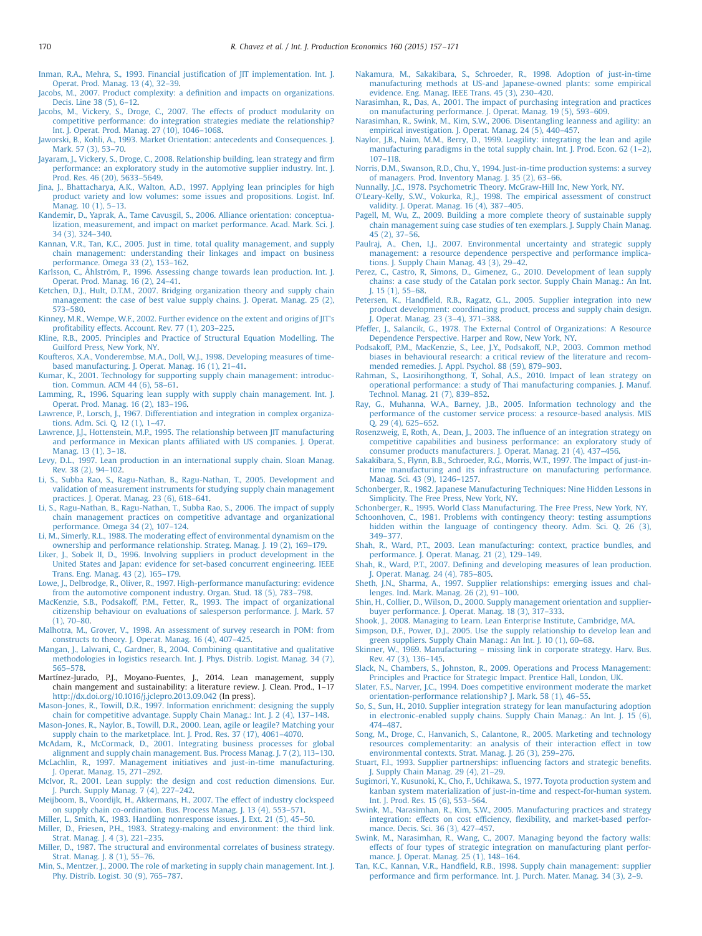<span id="page-13-0"></span>[Inman, R.A., Mehra, S., 1993. Financial justi](http://refhub.elsevier.com/S0925-5273(14)00319-3/sbref59)fication of JIT implementation. Int. J. [Operat. Prod. Manag. 13 \(4\), 32](http://refhub.elsevier.com/S0925-5273(14)00319-3/sbref59)–39.

[Jacobs, M., 2007. Product complexity: a de](http://refhub.elsevier.com/S0925-5273(14)00319-3/sbref60)finition and impacts on organizations. [Decis. Line 38 \(5\), 6](http://refhub.elsevier.com/S0925-5273(14)00319-3/sbref60)–12.

[Jacobs, M., Vickery, S., Droge, C., 2007. The effects of product modularity on](http://refhub.elsevier.com/S0925-5273(14)00319-3/sbref61) [competitive performance: do integration strategies mediate the relationship?](http://refhub.elsevier.com/S0925-5273(14)00319-3/sbref61) [Int. J. Operat. Prod. Manag. 27 \(10\), 1046](http://refhub.elsevier.com/S0925-5273(14)00319-3/sbref61)–1068.

- [Jaworski, B., Kohli, A., 1993. Market Orientation: antecedents and Consequences. J.](http://refhub.elsevier.com/S0925-5273(14)00319-3/sbref62) [Mark. 57 \(3\), 53](http://refhub.elsevier.com/S0925-5273(14)00319-3/sbref62)–70.
- [Jayaram, J., Vickery, S., Droge, C., 2008. Relationship building, lean strategy and](http://refhub.elsevier.com/S0925-5273(14)00319-3/sbref63) firm [performance: an exploratory study in the automotive supplier industry. Int. J.](http://refhub.elsevier.com/S0925-5273(14)00319-3/sbref63) [Prod. Res. 46 \(20\), 5633](http://refhub.elsevier.com/S0925-5273(14)00319-3/sbref63)–5649.
- [Jina, J., Bhattacharya, A.K., Walton, A.D., 1997. Applying lean principles for high](http://refhub.elsevier.com/S0925-5273(14)00319-3/sbref64) [product variety and low volumes: some issues and propositions. Logist. Inf.](http://refhub.elsevier.com/S0925-5273(14)00319-3/sbref64) [Manag. 10 \(1\), 5](http://refhub.elsevier.com/S0925-5273(14)00319-3/sbref64)–13.
- [Kandemir, D., Yaprak, A., Tame Cavusgil, S., 2006. Alliance orientation: conceptua](http://refhub.elsevier.com/S0925-5273(14)00319-3/sbref65)[lization, measurement, and impact on market performance. Acad. Mark. Sci. J.](http://refhub.elsevier.com/S0925-5273(14)00319-3/sbref65) [34 \(3\), 324](http://refhub.elsevier.com/S0925-5273(14)00319-3/sbref65)–340.
- [Kannan, V.R., Tan, K.C., 2005. Just in time, total quality management, and supply](http://refhub.elsevier.com/S0925-5273(14)00319-3/sbref66) [chain management: understanding their linkages and impact on business](http://refhub.elsevier.com/S0925-5273(14)00319-3/sbref66) [performance. Omega 33 \(2\), 153](http://refhub.elsevier.com/S0925-5273(14)00319-3/sbref66)–162.
- [Karlsson, C., Åhlström, P., 1996. Assessing change towards lean production. Int. J.](http://refhub.elsevier.com/S0925-5273(14)00319-3/sbref67) [Operat. Prod. Manag. 16 \(2\), 24](http://refhub.elsevier.com/S0925-5273(14)00319-3/sbref67)–41.
- [Ketchen, D.J., Hult, D.T.M., 2007. Bridging organization theory and supply chain](http://refhub.elsevier.com/S0925-5273(14)00319-3/sbref68) [management: the case of best value supply chains. J. Operat. Manag. 25 \(2\),](http://refhub.elsevier.com/S0925-5273(14)00319-3/sbref68) 573–[580.](http://refhub.elsevier.com/S0925-5273(14)00319-3/sbref68)
- [Kinney, M.R., Wempe, W.F., 2002. Further evidence on the extent and origins of JIT's](http://refhub.elsevier.com/S0925-5273(14)00319-3/sbref69) profi[tability effects. Account. Rev. 77 \(1\), 203](http://refhub.elsevier.com/S0925-5273(14)00319-3/sbref69)–225.
- [Kline, R.B., 2005. Principles and Practice of Structural Equation Modelling. The](http://refhub.elsevier.com/S0925-5273(14)00319-3/sbref70) [Guilford Press, New York, NY.](http://refhub.elsevier.com/S0925-5273(14)00319-3/sbref70)
- [Koufteros, X.A., Vonderembse, M.A., Doll, W.J., 1998. Developing measures of time](http://refhub.elsevier.com/S0925-5273(14)00319-3/sbref71)[based manufacturing. J. Operat. Manag. 16 \(1\), 21](http://refhub.elsevier.com/S0925-5273(14)00319-3/sbref71)–41.
- [Kumar, K., 2001. Technology for supporting supply chain management: introduc](http://refhub.elsevier.com/S0925-5273(14)00319-3/sbref72)[tion. Commun. ACM 44 \(6\), 58](http://refhub.elsevier.com/S0925-5273(14)00319-3/sbref72)–61.
- [Lamming, R., 1996. Squaring lean supply with supply chain management. Int. J.](http://refhub.elsevier.com/S0925-5273(14)00319-3/sbref73) [Operat. Prod. Manag. 16 \(2\), 183](http://refhub.elsevier.com/S0925-5273(14)00319-3/sbref73)–196.
- [Lawrence, P., Lorsch, J., 1967. Differentiation and integration in complex organiza](http://refhub.elsevier.com/S0925-5273(14)00319-3/sbref74)[tions. Adm. Sci. Q. 12 \(1\), 1](http://refhub.elsevier.com/S0925-5273(14)00319-3/sbref74)–47.
- [Lawrence, J.J., Hottenstein, M.P., 1995. The relationship between JIT manufacturing](http://refhub.elsevier.com/S0925-5273(14)00319-3/sbref75) [and performance in Mexican plants af](http://refhub.elsevier.com/S0925-5273(14)00319-3/sbref75)filiated with US companies. J. Operat. [Manag. 13 \(1\), 3](http://refhub.elsevier.com/S0925-5273(14)00319-3/sbref75)–18.
- [Levy, D.L., 1997. Lean production in an international supply chain. Sloan Manag.](http://refhub.elsevier.com/S0925-5273(14)00319-3/sbref76) [Rev. 38 \(2\), 94](http://refhub.elsevier.com/S0925-5273(14)00319-3/sbref76)–102.
- [Li, S., Subba Rao, S., Ragu-Nathan, B., Ragu-Nathan, T., 2005. Development and](http://refhub.elsevier.com/S0925-5273(14)00319-3/sbref77) [validation of measurement instruments for studying supply chain management](http://refhub.elsevier.com/S0925-5273(14)00319-3/sbref77) [practices. J. Operat. Manag. 23 \(6\), 618](http://refhub.elsevier.com/S0925-5273(14)00319-3/sbref77)–641.
- [Li, S., Ragu-Nathan, B., Ragu-Nathan, T., Subba Rao, S., 2006. The impact of supply](http://refhub.elsevier.com/S0925-5273(14)00319-3/sbref78) [chain management practices on competitive advantage and organizational](http://refhub.elsevier.com/S0925-5273(14)00319-3/sbref78) [performance. Omega 34 \(2\), 107](http://refhub.elsevier.com/S0925-5273(14)00319-3/sbref78)–124.
- [Li, M., Simerly, R.L., 1988. The moderating effect of environmental dynamism on the](http://refhub.elsevier.com/S0925-5273(14)00319-3/sbref79) [ownership and performance relationship. Strateg. Manag. J. 19 \(2\), 169](http://refhub.elsevier.com/S0925-5273(14)00319-3/sbref79)–179.
- [Liker, J., Sobek II, D., 1996. Involving suppliers in product development in the](http://refhub.elsevier.com/S0925-5273(14)00319-3/sbref80) [United States and Japan: evidence for set-based concurrent engineering. IEEE](http://refhub.elsevier.com/S0925-5273(14)00319-3/sbref80) [Trans. Eng. Manag. 43 \(2\), 165](http://refhub.elsevier.com/S0925-5273(14)00319-3/sbref80)–179.
- [Lowe, J., Delbrodge, R., Oliver, R., 1997. High-performance manufacturing: evidence](http://refhub.elsevier.com/S0925-5273(14)00319-3/sbref81) [from the automotive component industry. Organ. Stud. 18 \(5\), 783](http://refhub.elsevier.com/S0925-5273(14)00319-3/sbref81)–798.
- [MacKenzie, S.B., Podsakoff, P.M., Fetter, R., 1993. The impact of organizational](http://refhub.elsevier.com/S0925-5273(14)00319-3/sbref82) [citizenship behaviour on evaluations of salesperson performance. J. Mark. 57](http://refhub.elsevier.com/S0925-5273(14)00319-3/sbref82) [\(1\), 70](http://refhub.elsevier.com/S0925-5273(14)00319-3/sbref82)–80.
- [Malhotra, M., Grover, V., 1998. An assessment of survey research in POM: from](http://refhub.elsevier.com/S0925-5273(14)00319-3/sbref83) [constructs to theory. J. Operat. Manag. 16 \(4\), 407](http://refhub.elsevier.com/S0925-5273(14)00319-3/sbref83)–425.
- [Mangan, J., Lalwani, C., Gardner, B., 2004. Combining quantitative and qualitative](http://refhub.elsevier.com/S0925-5273(14)00319-3/sbref84) [methodologies in logistics research. Int. J. Phys. Distrib. Logist. Manag. 34 \(7\),](http://refhub.elsevier.com/S0925-5273(14)00319-3/sbref84) 565–[578.](http://refhub.elsevier.com/S0925-5273(14)00319-3/sbref84)
- Martínez-Jurado, P.J., Moyano-Fuentes, J., 2014. Lean management, supply chain mangement and sustainability: a literature review. J. Clean. Prod., 1–17 <http://dx.doi.org/10.1016/j.jclepro.2013.09.042> (In press).
- [Mason-Jones, R., Towill, D.R., 1997. Information enrichment: designing the supply](http://refhub.elsevier.com/S0925-5273(14)00319-3/sbref86) [chain for competitive advantage. Supply Chain Manag.: Int. J. 2 \(4\), 137](http://refhub.elsevier.com/S0925-5273(14)00319-3/sbref86)–148.
- [Mason-Jones, R., Naylor, B., Towill, D.R., 2000. Lean, agile or leagile? Matching your](http://refhub.elsevier.com/S0925-5273(14)00319-3/sbref87) [supply chain to the marketplace. Int. J. Prod. Res. 37 \(17\), 4061](http://refhub.elsevier.com/S0925-5273(14)00319-3/sbref87)–4070.
- [McAdam, R., McCormack, D., 2001. Integrating business processes for global](http://refhub.elsevier.com/S0925-5273(14)00319-3/sbref88) [alignment and supply chain management. Bus. Process Manag. J. 7 \(2\), 113](http://refhub.elsevier.com/S0925-5273(14)00319-3/sbref88)–130.
- [McLachlin, R., 1997. Management initiatives and just-in-time manufacturing.](http://refhub.elsevier.com/S0925-5273(14)00319-3/sbref89) [J. Operat. Manag. 15, 271](http://refhub.elsevier.com/S0925-5273(14)00319-3/sbref89)–292.
- [McIvor, R., 2001. Lean supply: the design and cost reduction dimensions. Eur.](http://refhub.elsevier.com/S0925-5273(14)00319-3/sbref90) [J. Purch. Supply Manag. 7 \(4\), 227](http://refhub.elsevier.com/S0925-5273(14)00319-3/sbref90)–242.
- [Meijboom, B., Voordijk, H., Akkermans, H., 2007. The effect of industry clockspeed](http://refhub.elsevier.com/S0925-5273(14)00319-3/sbref91) [on supply chain co-ordination. Bus. Process Manag. J. 13 \(4\), 553](http://refhub.elsevier.com/S0925-5273(14)00319-3/sbref91)–571.
- [Miller, L., Smith, K., 1983. Handling nonresponse issues. J. Ext. 21 \(5\), 45](http://refhub.elsevier.com/S0925-5273(14)00319-3/sbref92)–50. [Miller, D., Friesen, P.H., 1983. Strategy-making and environment: the third link.](http://refhub.elsevier.com/S0925-5273(14)00319-3/sbref93)
- [Strat. Manag. J. 4 \(3\), 221](http://refhub.elsevier.com/S0925-5273(14)00319-3/sbref93)–235. [Miller, D., 1987. The structural and environmental correlates of business strategy.](http://refhub.elsevier.com/S0925-5273(14)00319-3/sbref94)
- [Strat. Manag. J. 8 \(1\), 55](http://refhub.elsevier.com/S0925-5273(14)00319-3/sbref94)–76. [Min, S., Mentzer, J., 2000. The role of marketing in supply chain management. Int. J.](http://refhub.elsevier.com/S0925-5273(14)00319-3/sbref95) [Phy. Distrib. Logist. 30 \(9\), 765](http://refhub.elsevier.com/S0925-5273(14)00319-3/sbref95)–787.
- [Nakamura, M., Sakakibara, S., Schroeder, R., 1998. Adoption of just-in-time](http://refhub.elsevier.com/S0925-5273(14)00319-3/sbref96) [manufacturing methods at US-and Japanese-owned plants: some empirical](http://refhub.elsevier.com/S0925-5273(14)00319-3/sbref96) [evidence. Eng. Manag. IEEE Trans. 45 \(3\), 230](http://refhub.elsevier.com/S0925-5273(14)00319-3/sbref96)–420.
- [Narasimhan, R., Das, A., 2001. The impact of purchasing integration and practices](http://refhub.elsevier.com/S0925-5273(14)00319-3/sbref97) [on manufacturing performance. J. Operat. Manag. 19 \(5\), 593](http://refhub.elsevier.com/S0925-5273(14)00319-3/sbref97)–609.
- [Narasimhan, R., Swink, M., Kim, S.W., 2006. Disentangling leanness and agility: an](http://refhub.elsevier.com/S0925-5273(14)00319-3/sbref98) [empirical investigation. J. Operat. Manag. 24 \(5\), 440](http://refhub.elsevier.com/S0925-5273(14)00319-3/sbref98)–457.
- [Naylor, J.B., Naim, M.M., Berry, D., 1999. Leagility: integrating the lean and agile](http://refhub.elsevier.com/S0925-5273(14)00319-3/sbref99) [manufacturing paradigms in the total supply chain. Int. J. Prod. Econ. 62 \(1](http://refhub.elsevier.com/S0925-5273(14)00319-3/sbref99)-2), 107–[118.](http://refhub.elsevier.com/S0925-5273(14)00319-3/sbref99)
- [Norris, D.M., Swanson, R.D., Chu, Y., 1994. Just-in-time production systems: a survey](http://refhub.elsevier.com/S0925-5273(14)00319-3/sbref100) [of managers. Prod. Inventory Manag. J. 35 \(2\), 63](http://refhub.elsevier.com/S0925-5273(14)00319-3/sbref100)–66.
- [Nunnally, J.C., 1978. Psychometric Theory. McGraw-Hill Inc, New York, NY.](http://refhub.elsevier.com/S0925-5273(14)00319-3/sbref101)
- O'[Leary-Kelly, S.W., Vokurka, R.J., 1998. The empirical assessment of construct](http://refhub.elsevier.com/S0925-5273(14)00319-3/sbref102) [validity. J. Operat. Manag. 16 \(4\), 387](http://refhub.elsevier.com/S0925-5273(14)00319-3/sbref102)–405.
- [Pagell, M, Wu, Z., 2009. Building a more complete theory of sustainable supply](http://refhub.elsevier.com/S0925-5273(14)00319-3/sbref103) [chain management suing case studies of ten exemplars. J. Supply Chain Manag.](http://refhub.elsevier.com/S0925-5273(14)00319-3/sbref103) [45 \(2\), 37](http://refhub.elsevier.com/S0925-5273(14)00319-3/sbref103)–56.
- [Paulraj, A., Chen, I.J., 2007. Environmental uncertainty and strategic supply](http://refhub.elsevier.com/S0925-5273(14)00319-3/sbref104) [management: a resource dependence perspective and performance implica](http://refhub.elsevier.com/S0925-5273(14)00319-3/sbref104)[tions. J. Supply Chain Manag. 43 \(3\), 29](http://refhub.elsevier.com/S0925-5273(14)00319-3/sbref104)–42.
- [Perez, C., Castro, R, Simons, D., Gimenez, G., 2010. Development of lean supply](http://refhub.elsevier.com/S0925-5273(14)00319-3/sbref105) [chains: a case study of the Catalan pork sector. Supply Chain Manag.: An Int.](http://refhub.elsevier.com/S0925-5273(14)00319-3/sbref105) [J. 15 \(1\), 55](http://refhub.elsevier.com/S0925-5273(14)00319-3/sbref105)–68.
- Petersen, K., Handfi[eld, R.B., Ragatz, G.L., 2005. Supplier integration into new](http://refhub.elsevier.com/S0925-5273(14)00319-3/sbref106) [product development: coordinating product, process and supply chain design.](http://refhub.elsevier.com/S0925-5273(14)00319-3/sbref106) [J. Operat. Manag. 23 \(3](http://refhub.elsevier.com/S0925-5273(14)00319-3/sbref106)–4), 371–388.
- [Pfeffer, J., Salancik, G., 1978. The External Control of Organizations: A Resource](http://refhub.elsevier.com/S0925-5273(14)00319-3/sbref107)
- [Dependence Perspective. Harper and Row, New York, NY.](http://refhub.elsevier.com/S0925-5273(14)00319-3/sbref107) [Podsakoff, P.M., MacKenzie, S., Lee, J.Y., Podsakoff, N.P., 2003. Common method](http://refhub.elsevier.com/S0925-5273(14)00319-3/sbref108) [biases in behavioural research: a critical review of the literature and recom](http://refhub.elsevier.com/S0925-5273(14)00319-3/sbref108)[mended remedies. J. Appl. Psychol. 88 \(59\), 879](http://refhub.elsevier.com/S0925-5273(14)00319-3/sbref108)–903.
- [Rahman, S., Laosirihongthong, T, Sohal, A.S., 2010. Impact of lean strategy on](http://refhub.elsevier.com/S0925-5273(14)00319-3/sbref109) [operational performance: a study of Thai manufacturing companies. J. Manuf.](http://refhub.elsevier.com/S0925-5273(14)00319-3/sbref109)
- [Technol. Manag. 21 \(7\), 839](http://refhub.elsevier.com/S0925-5273(14)00319-3/sbref109)–852. [Ray, G., Muhanna, W.A., Barney, J.B., 2005. Information technology and the](http://refhub.elsevier.com/S0925-5273(14)00319-3/sbref110) [performance of the customer service process: a resource-based analysis. MIS](http://refhub.elsevier.com/S0925-5273(14)00319-3/sbref110) [Q. 29 \(4\), 625](http://refhub.elsevier.com/S0925-5273(14)00319-3/sbref110)–652.
- [Rosenzweig, E, Roth, A., Dean, J., 2003. The in](http://refhub.elsevier.com/S0925-5273(14)00319-3/sbref111)fluence of an integration strategy on [competitive capabilities and business performance: an exploratory study of](http://refhub.elsevier.com/S0925-5273(14)00319-3/sbref111) [consumer products manufacturers. J. Operat. Manag. 21 \(4\), 437](http://refhub.elsevier.com/S0925-5273(14)00319-3/sbref111)–456.
- [Sakakibara, S., Flynn, B.B., Schroeder, R.G., Morris, W.T., 1997. The Impact of just-in](http://refhub.elsevier.com/S0925-5273(14)00319-3/sbref112)[time manufacturing and its infrastructure on manufacturing performance.](http://refhub.elsevier.com/S0925-5273(14)00319-3/sbref112) [Manag. Sci. 43 \(9\), 1246](http://refhub.elsevier.com/S0925-5273(14)00319-3/sbref112)–1257.
- [Schonberger, R., 1982. Japanese Manufacturing Techniques: Nine Hidden Lessons in](http://refhub.elsevier.com/S0925-5273(14)00319-3/sbref114) [Simplicity. The Free Press, New York, NY.](http://refhub.elsevier.com/S0925-5273(14)00319-3/sbref114)
- [Schonberger, R., 1995. World Class Manufacturing. The Free Press, New York, NY.](http://refhub.elsevier.com/S0925-5273(14)00319-3/sbref115)
- [Schoonhoven, C., 1981. Problems with contingency theory: testing assumptions](http://refhub.elsevier.com/S0925-5273(14)00319-3/sbref116) [hidden within the language of contingency theory. Adm. Sci. Q. 26 \(3\),](http://refhub.elsevier.com/S0925-5273(14)00319-3/sbref116) 349–[377.](http://refhub.elsevier.com/S0925-5273(14)00319-3/sbref116)
- [Shah, R., Ward, P.T., 2003. Lean manufacturing: context, practice bundles, and](http://refhub.elsevier.com/S0925-5273(14)00319-3/sbref117) [performance. J. Operat. Manag. 21 \(2\), 129](http://refhub.elsevier.com/S0925-5273(14)00319-3/sbref117)–149.
- Shah, R., Ward, P.T., 2007. Defi[ning and developing measures of lean production.](http://refhub.elsevier.com/S0925-5273(14)00319-3/sbref118) [J. Operat. Manag. 24 \(4\), 785](http://refhub.elsevier.com/S0925-5273(14)00319-3/sbref118)–805.
- [Sheth, J.N., Sharma, A., 1997. Supplier relationships: emerging issues and chal](http://refhub.elsevier.com/S0925-5273(14)00319-3/sbref119)[lenges. Ind. Mark. Manag. 26 \(2\), 91](http://refhub.elsevier.com/S0925-5273(14)00319-3/sbref119)–100.
- [Shin, H., Collier, D., Wilson, D., 2000. Supply management orientation and supplier](http://refhub.elsevier.com/S0925-5273(14)00319-3/sbref120)[buyer performance. J. Operat. Manag. 18 \(3\), 317](http://refhub.elsevier.com/S0925-5273(14)00319-3/sbref120)–333.
- [Shook, J., 2008. Managing to Learn. Lean Enterprise Institute, Cambridge, MA.](http://refhub.elsevier.com/S0925-5273(14)00319-3/sbref121) [Simpson, D.F., Power, D.J., 2005. Use the supply relationship to develop lean and](http://refhub.elsevier.com/S0925-5273(14)00319-3/sbref122)
- [green suppliers. Supply Chain Manag.: An Int. J. 10 \(1\), 60](http://refhub.elsevier.com/S0925-5273(14)00319-3/sbref122)–68. Skinner, W., 1969. Manufacturing – [missing link in corporate strategy. Harv. Bus.](http://refhub.elsevier.com/S0925-5273(14)00319-3/sbref123) [Rev. 47 \(3\), 136](http://refhub.elsevier.com/S0925-5273(14)00319-3/sbref123)–145.
- [Slack, N., Chambers, S., Johnston, R., 2009. Operations and Process Management:](http://refhub.elsevier.com/S0925-5273(14)00319-3/sbref124) [Principles and Practice for Strategic Impact. Prentice Hall, London, UK.](http://refhub.elsevier.com/S0925-5273(14)00319-3/sbref124)
- [Slater, F.S., Narver, J.C., 1994. Does competitive environment moderate the market](http://refhub.elsevier.com/S0925-5273(14)00319-3/sbref125) [orientation-performance relationship? J. Mark. 58 \(1\), 46](http://refhub.elsevier.com/S0925-5273(14)00319-3/sbref125)–55.
- [So, S., Sun, H., 2010. Supplier integration strategy for lean manufacturing adoption](http://refhub.elsevier.com/S0925-5273(14)00319-3/sbref126) [in electronic-enabled supply chains. Supply Chain Manag.: An Int. J. 15 \(6\),](http://refhub.elsevier.com/S0925-5273(14)00319-3/sbref126) 474–[487.](http://refhub.elsevier.com/S0925-5273(14)00319-3/sbref126)
- [Song, M., Droge, C., Hanvanich, S., Calantone, R., 2005. Marketing and technology](http://refhub.elsevier.com/S0925-5273(14)00319-3/sbref127) [resources complementarity: an analysis of their interaction effect in tow](http://refhub.elsevier.com/S0925-5273(14)00319-3/sbref127) [environmental contexts. Strat. Manag. J. 26 \(3\), 259](http://refhub.elsevier.com/S0925-5273(14)00319-3/sbref127)–276.
- [Stuart, F.I., 1993. Supplier partnerships: in](http://refhub.elsevier.com/S0925-5273(14)00319-3/sbref128)fluencing factors and strategic benefits. [J. Supply Chain Manag. 29 \(4\), 21](http://refhub.elsevier.com/S0925-5273(14)00319-3/sbref128)–29.
- [Sugimori, Y., Kusunoki, K., Cho, F., Uchikawa, S., 1977. Toyota production system and](http://refhub.elsevier.com/S0925-5273(14)00319-3/sbref129) [kanban system materialization of just-in-time and respect-for-human system.](http://refhub.elsevier.com/S0925-5273(14)00319-3/sbref129) [Int. J. Prod. Res. 15 \(6\), 553](http://refhub.elsevier.com/S0925-5273(14)00319-3/sbref129)–564.
- [Swink, M., Narasimhan, R., Kim, S.W., 2005. Manufacturing practices and strategy](http://refhub.elsevier.com/S0925-5273(14)00319-3/sbref130) integration: effects on cost efficiency, fl[exibility, and market-based perfor](http://refhub.elsevier.com/S0925-5273(14)00319-3/sbref130)[mance. Decis. Sci. 36 \(3\), 427](http://refhub.elsevier.com/S0925-5273(14)00319-3/sbref130)–457.
- [Swink, M., Narasimhan, R., Wang, C., 2007. Managing beyond the factory walls:](http://refhub.elsevier.com/S0925-5273(14)00319-3/sbref131) [effects of four types of strategic integration on manufacturing plant perfor](http://refhub.elsevier.com/S0925-5273(14)00319-3/sbref131)[mance. J. Operat. Manag. 25 \(1\), 148](http://refhub.elsevier.com/S0925-5273(14)00319-3/sbref131)–164.
- Tan, K.C., Kannan, V.R., Handfi[eld, R.B., 1998. Supply chain management: supplier](http://refhub.elsevier.com/S0925-5273(14)00319-3/sbref132) performance and fi[rm performance. Int. J. Purch. Mater. Manag. 34 \(3\), 2](http://refhub.elsevier.com/S0925-5273(14)00319-3/sbref132)–9.